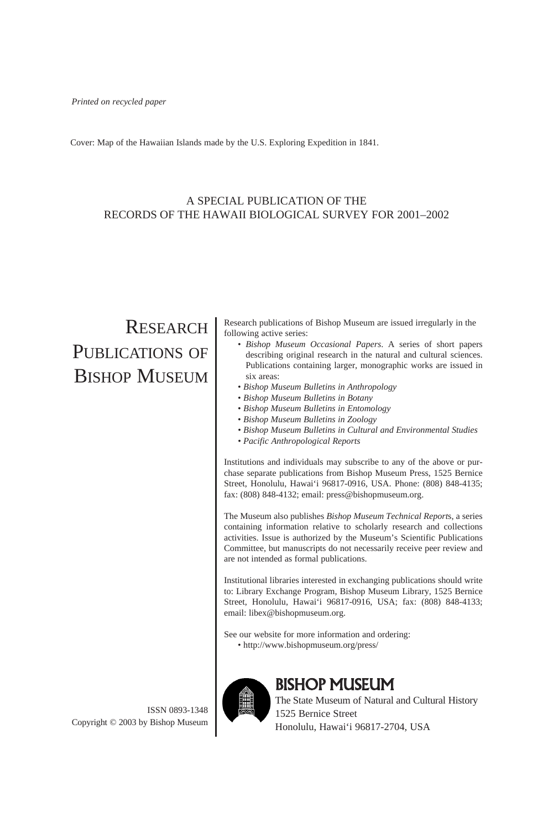Cover: Map of the Hawaiian Islands made by the U.S. Exploring Expedition in 1841.

# A SPECIAL PUBLICATION OF THE RECORDS OF THE HAWAII BIOLOGICAL SURVEY FOR 2001–2002

# RESEARCH PUBLICATIONS OF BISHOP MUSEUM

ISSN 0893-1348 Copyright © 2003 by Bishop Museum Research publications of Bishop Museum are issued irregularly in the following active series:

- *Bishop Museum Occasional Papers*. A series of short papers describing original research in the natural and cultural sciences. Publications containing larger, monographic works are issued in six areas:
- *Bishop Museum Bulletins in Anthropology*
- *Bishop Museum Bulletins in Botany*
- *Bishop Museum Bulletins in Entomology*
- *Bishop Museum Bulletins in Zoology*
- *• Bishop Museum Bulletins in Cultural and Environmental Studies*
- *• Pacific Anthropological Reports*

Institutions and individuals may subscribe to any of the above or purchase separate publications from Bishop Museum Press, 1525 Bernice Street, Honolulu, Hawai'i 96817-0916, USA. Phone: (808) 848-4135; fax: (808) 848-4132; email: press@bishopmuseum.org.

The Museum also publishes *Bishop Museum Technical Report*s, a series containing information relative to scholarly research and collections activities. Issue is authorized by the Museum's Scientific Publications Committee, but manuscripts do not necessarily receive peer review and are not intended as formal publications.

Institutional libraries interested in exchanging publications should write to: Library Exchange Program, Bishop Museum Library, 1525 Bernice Street, Honolulu, Hawai'i 96817-0916, USA; fax: (808) 848-4133; email: libex@bishopmuseum.org.

See our website for more information and ordering: • http://www.bishopmuseum.org/press/



# BISHOP MUSEUM

The State Museum of Natural and Cultural History 1525 Bernice Street Honolulu, Hawai'i 96817-2704, USA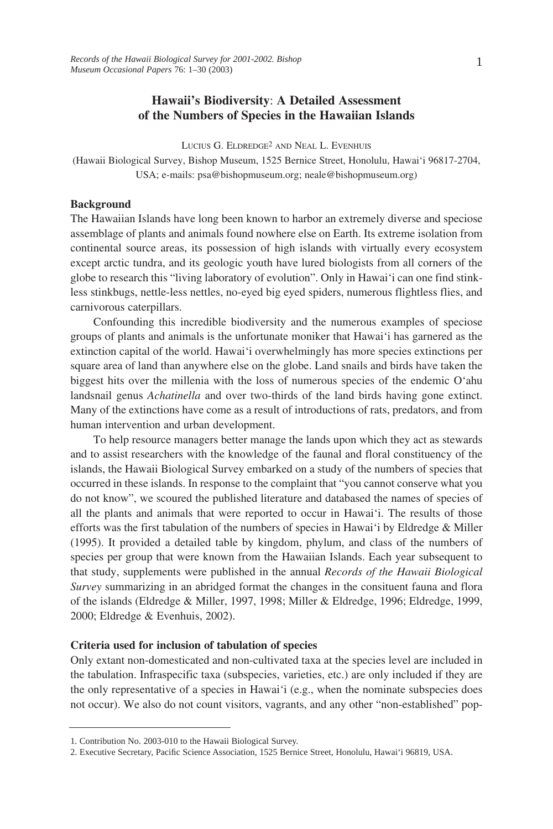# **Hawaii's Biodiversity**: **A Detailed Assessment of the Numbers of Species in the Hawaiian Islands**

LUCIUS G. ELDREDGE2 AND NEAL L. EVENHUIS

(Hawaii Biological Survey, Bishop Museum, 1525 Bernice Street, Honolulu, Hawai'i 96817-2704, USA; e-mails: psa@bishopmuseum.org; neale@bishopmuseum.org)

#### **Background**

The Hawaiian Islands have long been known to harbor an extremely diverse and speciose assemblage of plants and animals found nowhere else on Earth. Its extreme isolation from continental source areas, its possession of high islands with virtually every ecosystem except arctic tundra, and its geologic youth have lured biologists from all corners of the globe to research this "living laboratory of evolution". Only in Hawai'i can one find stinkless stinkbugs, nettle-less nettles, no-eyed big eyed spiders, numerous flightless flies, and carnivorous caterpillars.

Confounding this incredible biodiversity and the numerous examples of speciose groups of plants and animals is the unfortunate moniker that Hawai'i has garnered as the extinction capital of the world. Hawai'i overwhelmingly has more species extinctions per square area of land than anywhere else on the globe. Land snails and birds have taken the biggest hits over the millenia with the loss of numerous species of the endemic O'ahu landsnail genus *Achatinella* and over two-thirds of the land birds having gone extinct. Many of the extinctions have come as a result of introductions of rats, predators, and from human intervention and urban development.

To help resource managers better manage the lands upon which they act as stewards and to assist researchers with the knowledge of the faunal and floral constituency of the islands, the Hawaii Biological Survey embarked on a study of the numbers of species that occurred in these islands. In response to the complaint that "you cannot conserve what you do not know", we scoured the published literature and databased the names of species of all the plants and animals that were reported to occur in Hawai'i. The results of those efforts was the first tabulation of the numbers of species in Hawai'i by Eldredge  $\&$  Miller (1995). It provided a detailed table by kingdom, phylum, and class of the numbers of species per group that were known from the Hawaiian Islands. Each year subsequent to that study, supplements were published in the annual *Records of the Hawaii Biological Survey* summarizing in an abridged format the changes in the consituent fauna and flora of the islands (Eldredge & Miller, 1997, 1998; Miller & Eldredge, 1996; Eldredge, 1999, 2000; Eldredge & Evenhuis, 2002).

#### **Criteria used for inclusion of tabulation of species**

Only extant non-domesticated and non-cultivated taxa at the species level are included in the tabulation. Infraspecific taxa (subspecies, varieties, etc.) are only included if they are the only representative of a species in Hawai'i (e.g., when the nominate subspecies does not occur). We also do not count visitors, vagrants, and any other "non-established" pop-

<sup>1.</sup> Contribution No. 2003-010 to the Hawaii Biological Survey.

<sup>2.</sup> Executive Secretary, Pacific Science Association, 1525 Bernice Street, Honolulu, Hawai'i 96819, USA.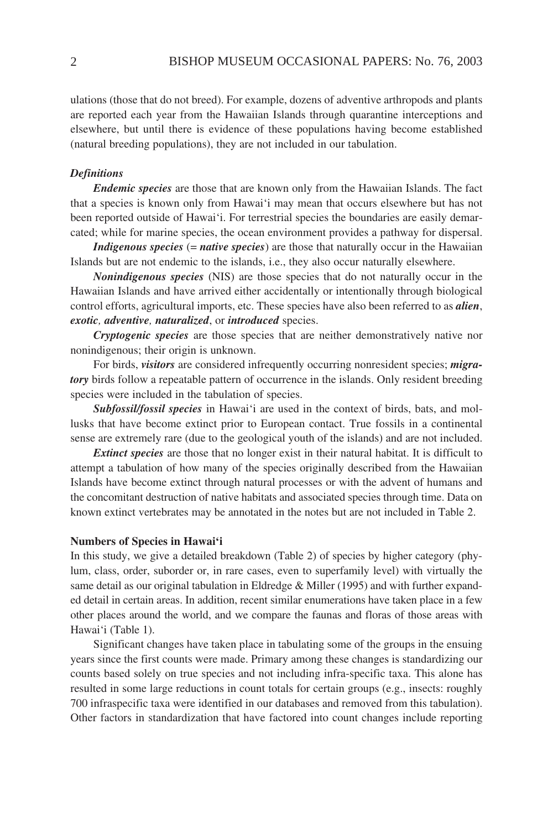ulations (those that do not breed). For example, dozens of adventive arthropods and plants are reported each year from the Hawaiian Islands through quarantine interceptions and elsewhere, but until there is evidence of these populations having become established (natural breeding populations), they are not included in our tabulation.

#### *Definitions*

*Endemic species* are those that are known only from the Hawaiian Islands. The fact that a species is known only from Hawai'i may mean that occurs elsewhere but has not been reported outside of Hawai'i. For terrestrial species the boundaries are easily demarcated; while for marine species, the ocean environment provides a pathway for dispersal.

*Indigenous species* (= *native species*) are those that naturally occur in the Hawaiian Islands but are not endemic to the islands, i.e., they also occur naturally elsewhere.

*Nonindigenous species* (NIS) are those species that do not naturally occur in the Hawaiian Islands and have arrived either accidentally or intentionally through biological control efforts, agricultural imports, etc. These species have also been referred to as *alien*, *exotic, adventive, naturalized*, or *introduced* species.

*Cryptogenic species* are those species that are neither demonstratively native nor nonindigenous; their origin is unknown.

For birds, *visitors* are considered infrequently occurring nonresident species; *migratory* birds follow a repeatable pattern of occurrence in the islands. Only resident breeding species were included in the tabulation of species.

*Subfossil/fossil species* in Hawai'i are used in the context of birds, bats, and mollusks that have become extinct prior to European contact. True fossils in a continental sense are extremely rare (due to the geological youth of the islands) and are not included.

*Extinct species* are those that no longer exist in their natural habitat. It is difficult to attempt a tabulation of how many of the species originally described from the Hawaiian Islands have become extinct through natural processes or with the advent of humans and the concomitant destruction of native habitats and associated species through time. Data on known extinct vertebrates may be annotated in the notes but are not included in Table 2.

#### **Numbers of Species in Hawai'i**

In this study, we give a detailed breakdown (Table 2) of species by higher category (phylum, class, order, suborder or, in rare cases, even to superfamily level) with virtually the same detail as our original tabulation in Eldredge & Miller (1995) and with further expanded detail in certain areas. In addition, recent similar enumerations have taken place in a few other places around the world, and we compare the faunas and floras of those areas with Hawai'i (Table 1).

Significant changes have taken place in tabulating some of the groups in the ensuing years since the first counts were made. Primary among these changes is standardizing our counts based solely on true species and not including infra-specific taxa. This alone has resulted in some large reductions in count totals for certain groups (e.g., insects: roughly 700 infraspecific taxa were identified in our databases and removed from this tabulation). Other factors in standardization that have factored into count changes include reporting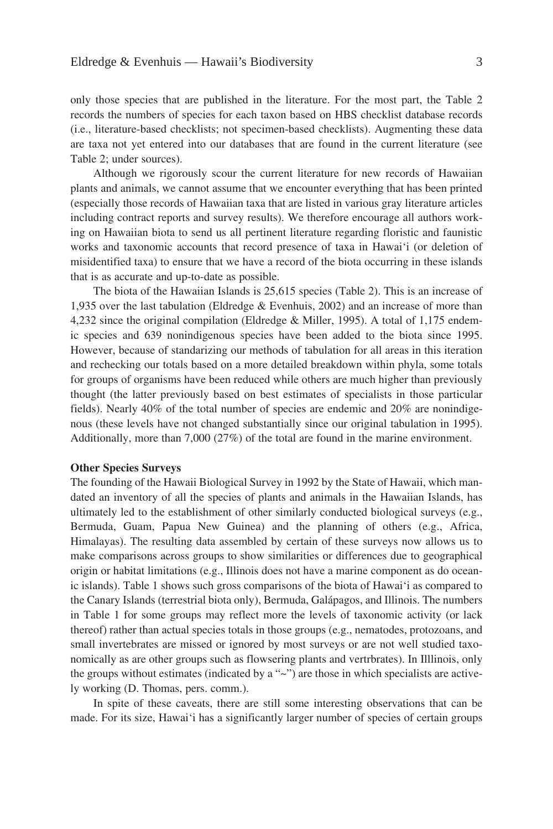only those species that are published in the literature. For the most part, the Table 2 records the numbers of species for each taxon based on HBS checklist database records (i.e., literature-based checklists; not specimen-based checklists). Augmenting these data are taxa not yet entered into our databases that are found in the current literature (see Table 2; under sources).

Although we rigorously scour the current literature for new records of Hawaiian plants and animals, we cannot assume that we encounter everything that has been printed (especially those records of Hawaiian taxa that are listed in various gray literature articles including contract reports and survey results). We therefore encourage all authors working on Hawaiian biota to send us all pertinent literature regarding floristic and faunistic works and taxonomic accounts that record presence of taxa in Hawai'i (or deletion of misidentified taxa) to ensure that we have a record of the biota occurring in these islands that is as accurate and up-to-date as possible.

The biota of the Hawaiian Islands is 25,615 species (Table 2). This is an increase of 1,935 over the last tabulation (Eldredge & Evenhuis, 2002) and an increase of more than 4,232 since the original compilation (Eldredge & Miller, 1995). A total of 1,175 endemic species and 639 nonindigenous species have been added to the biota since 1995. However, because of standarizing our methods of tabulation for all areas in this iteration and rechecking our totals based on a more detailed breakdown within phyla, some totals for groups of organisms have been reduced while others are much higher than previously thought (the latter previously based on best estimates of specialists in those particular fields). Nearly 40% of the total number of species are endemic and 20% are nonindigenous (these levels have not changed substantially since our original tabulation in 1995). Additionally, more than 7,000 (27%) of the total are found in the marine environment.

#### **Other Species Surveys**

The founding of the Hawaii Biological Survey in 1992 by the State of Hawaii, which mandated an inventory of all the species of plants and animals in the Hawaiian Islands, has ultimately led to the establishment of other similarly conducted biological surveys (e.g., Bermuda, Guam, Papua New Guinea) and the planning of others (e.g., Africa, Himalayas). The resulting data assembled by certain of these surveys now allows us to make comparisons across groups to show similarities or differences due to geographical origin or habitat limitations (e.g., Illinois does not have a marine component as do oceanic islands). Table 1 shows such gross comparisons of the biota of Hawai'i as compared to the Canary Islands (terrestrial biota only), Bermuda, Galápagos, and Illinois. The numbers in Table 1 for some groups may reflect more the levels of taxonomic activity (or lack thereof) rather than actual species totals in those groups (e.g., nematodes, protozoans, and small invertebrates are missed or ignored by most surveys or are not well studied taxonomically as are other groups such as flowsering plants and vertrbrates). In Illlinois, only the groups without estimates (indicated by a "~") are those in which specialists are actively working (D. Thomas, pers. comm.).

In spite of these caveats, there are still some interesting observations that can be made. For its size, Hawai'i has a significantly larger number of species of certain groups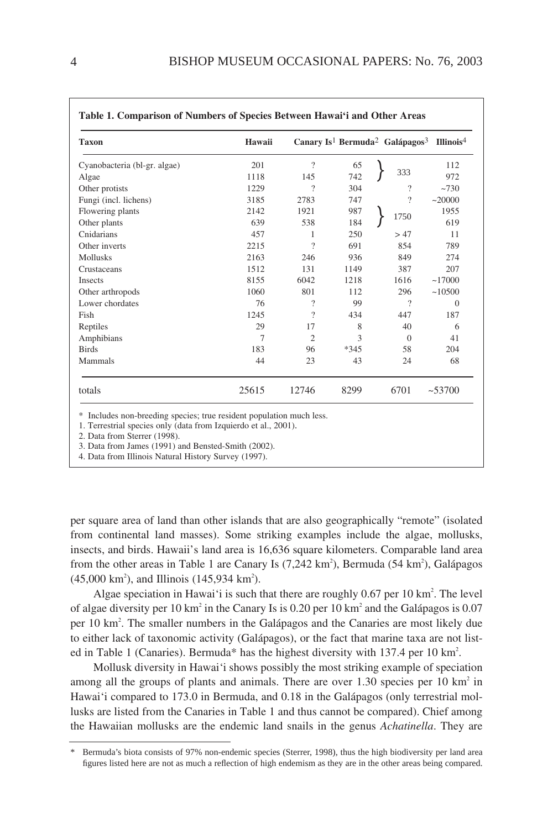| <b>Taxon</b>                 | Hawaii         |                          |        | Canary Is <sup>1</sup> Bermuda <sup>2</sup> Galápagos <sup>3</sup> Illinois <sup>4</sup> |              |
|------------------------------|----------------|--------------------------|--------|------------------------------------------------------------------------------------------|--------------|
| Cyanobacteria (bl-gr. algae) | 201            | $\gamma$                 | 65     |                                                                                          | 112          |
| Algae                        | 1118           | 145                      | 742    | 333                                                                                      | 972          |
| Other protists               | 1229           | ?                        | 304    | ?                                                                                        | $~10^{-730}$ |
| Fungi (incl. lichens)        | 3185           | 2783                     | 747    | ?                                                                                        | ~20000       |
| Flowering plants             | 2142           | 1921                     | 987    | 1750                                                                                     | 1955         |
| Other plants                 | 639            | 538                      | 184    |                                                                                          | 619          |
| Cnidarians                   | 457            | 1                        | 250    | >47                                                                                      | 11           |
| Other inverts                | 2215           | $\gamma$                 | 691    | 854                                                                                      | 789          |
| <b>Mollusks</b>              | 2163           | 246                      | 936    | 849                                                                                      | 274          |
| Crustaceans                  | 1512           | 131                      | 1149   | 387                                                                                      | 207          |
| Insects                      | 8155           | 6042                     | 1218   | 1616                                                                                     | ~17000       |
| Other arthropods             | 1060           | 801                      | 112    | 296                                                                                      | ~10500       |
| Lower chordates              | 76             | $\overline{\phantom{a}}$ | 99     | ?                                                                                        | $\Omega$     |
| Fish                         | 1245           | $\gamma$                 | 434    | 447                                                                                      | 187          |
| Reptiles                     | 29             | 17                       | 8      | 40                                                                                       | 6            |
| Amphibians                   | $\overline{7}$ | $\overline{c}$           | 3      | $\Omega$                                                                                 | 41           |
| <b>Birds</b>                 | 183            | 96                       | $*345$ | 58                                                                                       | 204          |
| Mammals                      | 44             | 23                       | 43     | 24                                                                                       | 68           |
| totals                       | 25615          | 12746                    | 8299   | 6701                                                                                     | ~100         |

2. Data from Sterrer (1998).

3. Data from James (1991) and Bensted-Smith (2002).

4. Data from Illinois Natural History Survey (1997).

per square area of land than other islands that are also geographically "remote" (isolated from continental land masses). Some striking examples include the algae, mollusks, insects, and birds. Hawaii's land area is 16,636 square kilometers. Comparable land area from the other areas in Table 1 are Canary Is  $(7,242 \text{ km}^2)$ , Bermuda  $(54 \text{ km}^2)$ , Galápagos  $(45,000 \text{ km}^2)$ , and Illinois  $(145,934 \text{ km}^2)$ .

Algae speciation in Hawai'i is such that there are roughly  $0.67$  per 10 km<sup>2</sup>. The level of algae diversity per 10 km<sup>2</sup> in the Canary Is is 0.20 per 10 km<sup>2</sup> and the Galápagos is 0.07 per 10 km<sup>2</sup>. The smaller numbers in the Galápagos and the Canaries are most likely due to either lack of taxonomic activity (Galápagos), or the fact that marine taxa are not listed in Table 1 (Canaries). Bermuda\* has the highest diversity with 137.4 per 10 km<sup>2</sup>.

Mollusk diversity in Hawai'i shows possibly the most striking example of speciation among all the groups of plants and animals. There are over  $1.30$  species per  $10 \text{ km}^2$  in Hawai'i compared to 173.0 in Bermuda, and 0.18 in the Galápagos (only terrestrial mollusks are listed from the Canaries in Table 1 and thus cannot be compared). Chief among the Hawaiian mollusks are the endemic land snails in the genus *Achatinella*. They are

<sup>\*</sup> Bermuda's biota consists of 97% non-endemic species (Sterrer, 1998), thus the high biodiversity per land area figures listed here are not as much a reflection of high endemism as they are in the other areas being compared.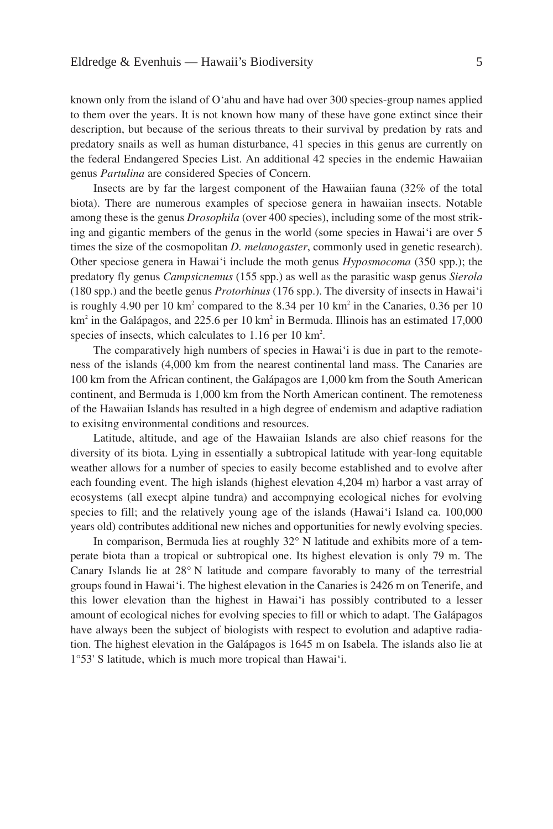known only from the island of O'ahu and have had over 300 species-group names applied to them over the years. It is not known how many of these have gone extinct since their description, but because of the serious threats to their survival by predation by rats and predatory snails as well as human disturbance, 41 species in this genus are currently on the federal Endangered Species List. An additional 42 species in the endemic Hawaiian genus *Partulina* are considered Species of Concern.

Insects are by far the largest component of the Hawaiian fauna (32% of the total biota). There are numerous examples of speciose genera in hawaiian insects. Notable among these is the genus *Drosophila* (over 400 species), including some of the most striking and gigantic members of the genus in the world (some species in Hawai'i are over 5 times the size of the cosmopolitan *D. melanogaster*, commonly used in genetic research). Other speciose genera in Hawai'i include the moth genus *Hyposmocoma* (350 spp.); the predatory fly genus *Campsicnemus* (155 spp.) as well as the parasitic wasp genus *Sierola* (180 spp.) and the beetle genus *Protorhinus* (176 spp.). The diversity of insects in Hawai'i is roughly 4.90 per 10 km<sup>2</sup> compared to the 8.34 per 10 km<sup>2</sup> in the Canaries, 0.36 per 10  $km<sup>2</sup>$  in the Galápagos, and 225.6 per 10 km<sup>2</sup> in Bermuda. Illinois has an estimated 17,000 species of insects, which calculates to  $1.16$  per  $10 \text{ km}^2$ .

The comparatively high numbers of species in Hawai'i is due in part to the remoteness of the islands (4,000 km from the nearest continental land mass. The Canaries are 100 km from the African continent, the Galápagos are 1,000 km from the South American continent, and Bermuda is 1,000 km from the North American continent. The remoteness of the Hawaiian Islands has resulted in a high degree of endemism and adaptive radiation to exisitng environmental conditions and resources.

Latitude, altitude, and age of the Hawaiian Islands are also chief reasons for the diversity of its biota. Lying in essentially a subtropical latitude with year-long equitable weather allows for a number of species to easily become established and to evolve after each founding event. The high islands (highest elevation 4,204 m) harbor a vast array of ecosystems (all execpt alpine tundra) and accompnying ecological niches for evolving species to fill; and the relatively young age of the islands (Hawai'i Island ca. 100,000 years old) contributes additional new niches and opportunities for newly evolving species.

In comparison, Bermuda lies at roughly 32° N latitude and exhibits more of a temperate biota than a tropical or subtropical one. Its highest elevation is only 79 m. The Canary Islands lie at 28° N latitude and compare favorably to many of the terrestrial groups found in Hawai'i. The highest elevation in the Canaries is 2426 m on Tenerife, and this lower elevation than the highest in Hawai'i has possibly contributed to a lesser amount of ecological niches for evolving species to fill or which to adapt. The Galápagos have always been the subject of biologists with respect to evolution and adaptive radiation. The highest elevation in the Galápagos is 1645 m on Isabela. The islands also lie at 1°53' S latitude, which is much more tropical than Hawai'i.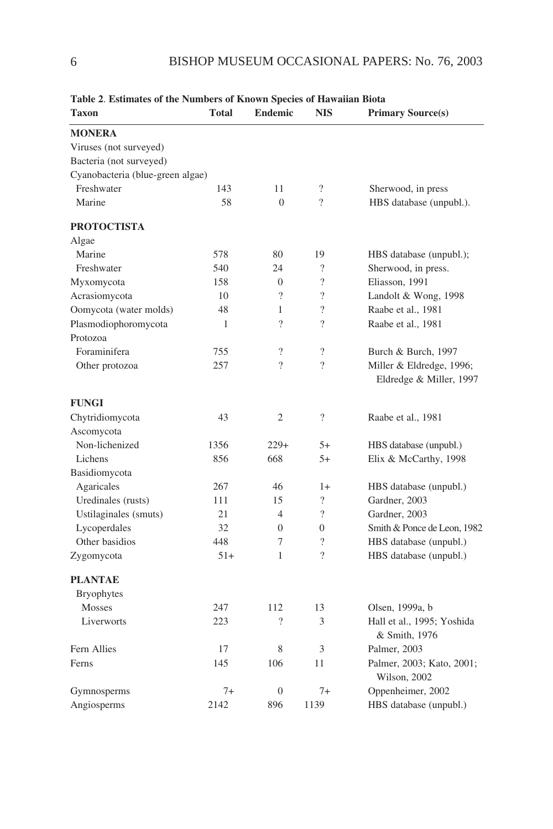| Table 2. Estimates of the Numbers of Known Species of Hawaiian Biota |              |                          |                          |                                             |
|----------------------------------------------------------------------|--------------|--------------------------|--------------------------|---------------------------------------------|
| Taxon                                                                | <b>Total</b> | Endemic                  | <b>NIS</b>               | <b>Primary Source(s)</b>                    |
| <b>MONERA</b>                                                        |              |                          |                          |                                             |
| Viruses (not surveyed)                                               |              |                          |                          |                                             |
| Bacteria (not surveyed)                                              |              |                          |                          |                                             |
| Cyanobacteria (blue-green algae)                                     |              |                          |                          |                                             |
| Freshwater                                                           | 143          | 11                       | $\overline{\cdot}$       | Sherwood, in press                          |
| Marine                                                               | 58           | $\theta$                 | $\gamma$                 | HBS database (unpubl.).                     |
| <b>PROTOCTISTA</b>                                                   |              |                          |                          |                                             |
| Algae                                                                |              |                          |                          |                                             |
| Marine                                                               | 578          | 80                       | 19                       | HBS database (unpubl.);                     |
| Freshwater                                                           | 540          | 24                       | $\gamma$                 | Sherwood, in press.                         |
| Myxomycota                                                           | 158          | $\Omega$                 | $\overline{?}$           | Eliasson, 1991                              |
| Acrasiomycota                                                        | 10           | $\overline{\phantom{a}}$ | $\overline{?}$           | Landolt & Wong, 1998                        |
| Oomycota (water molds)                                               | 48           | 1                        | $\gamma$                 | Raabe et al., 1981                          |
| Plasmodiophoromycota                                                 | 1            | $\overline{\mathcal{L}}$ | $\gamma$                 | Raabe et al., 1981                          |
| Protozoa                                                             |              |                          |                          |                                             |
| Foraminifera                                                         | 755          | $\overline{\mathcal{L}}$ | $\overline{\mathcal{L}}$ | Burch & Burch, 1997                         |
| Other protozoa                                                       | 257          | $\overline{\mathcal{L}}$ | $\gamma$                 | Miller & Eldredge, 1996;                    |
|                                                                      |              |                          |                          | Eldredge & Miller, 1997                     |
| <b>FUNGI</b>                                                         |              |                          |                          |                                             |
| Chytridiomycota                                                      | 43           | $\mathfrak{2}$           | $\overline{\mathcal{L}}$ | Raabe et al., 1981                          |
| Ascomycota                                                           |              |                          |                          |                                             |
| Non-lichenized                                                       | 1356         | $229+$                   | $5+$                     | HBS database (unpubl.)                      |
| Lichens                                                              | 856          | 668                      | $5+$                     | Elix & McCarthy, 1998                       |
| Basidiomycota                                                        |              |                          |                          |                                             |
| Agaricales                                                           | 267          | 46                       | $1+$                     | HBS database (unpubl.)                      |
| Uredinales (rusts)                                                   | 111          | 15                       | $\gamma$                 | Gardner, 2003                               |
| Ustilaginales (smuts)                                                | 21           | $\overline{4}$           | $\gamma$                 | Gardner, 2003                               |
| Lycoperdales                                                         | 32           | $\overline{0}$           | $\theta$                 | Smith & Ponce de Leon, 1982                 |
| Other basidios                                                       | 448          | 7                        | $\gamma$                 | HBS database (unpubl.)                      |
| Zygomycota                                                           | $51+$        | 1                        | $\gamma$                 | HBS database (unpubl.)                      |
| <b>PLANTAE</b>                                                       |              |                          |                          |                                             |
| <b>Bryophytes</b>                                                    |              |                          |                          |                                             |
| Mosses                                                               | 247          | 112                      | 13                       | Olsen, 1999a, b                             |
| Liverworts                                                           | 223          | $\overline{\mathcal{L}}$ | 3                        | Hall et al., 1995; Yoshida<br>& Smith, 1976 |
| Fern Allies                                                          | 17           | 8                        | 3                        | Palmer, 2003                                |
| Ferns                                                                | 145          | 106                      | 11                       | Palmer, 2003; Kato, 2001;                   |
|                                                                      |              |                          |                          | Wilson, 2002                                |
| Gymnosperms                                                          | $7+$         | $\overline{0}$           | $7+$                     | Oppenheimer, 2002                           |
| Angiosperms                                                          | 2142         | 896                      | 1139                     | HBS database (unpubl.)                      |

**Table 2**. **Estimates of the Numbers of Known Species of Hawaiian Biota**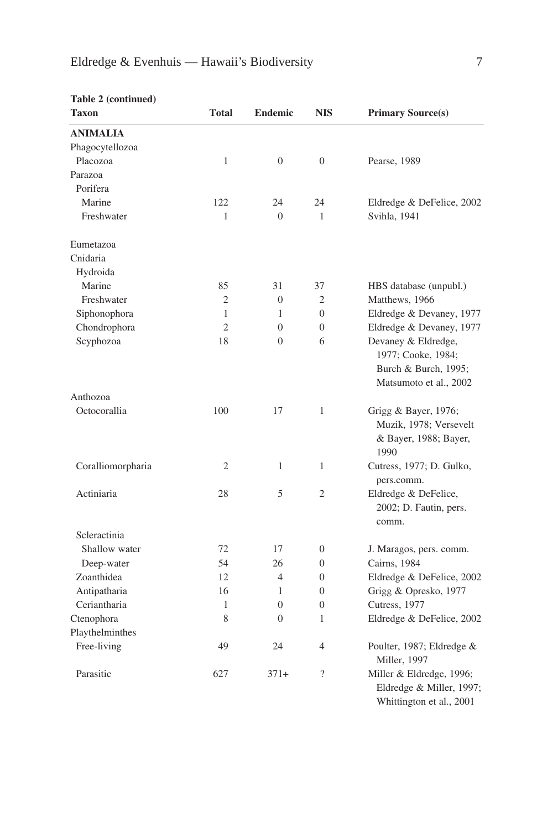| Taxon             | <b>Total</b>   | <b>Endemic</b> | <b>NIS</b>     | <b>Primary Source(s)</b>                                                                    |
|-------------------|----------------|----------------|----------------|---------------------------------------------------------------------------------------------|
| <b>ANIMALIA</b>   |                |                |                |                                                                                             |
| Phagocytellozoa   |                |                |                |                                                                                             |
| Placozoa          | $\mathbf{1}$   | $\overline{0}$ | $\overline{0}$ | Pearse, 1989                                                                                |
| Parazoa           |                |                |                |                                                                                             |
| Porifera          |                |                |                |                                                                                             |
| Marine            | 122            | 24             | 24             | Eldredge & DeFelice, 2002                                                                   |
| Freshwater        | $\mathbf{1}$   | $\overline{0}$ | $\mathbf{1}$   | Svihla, 1941                                                                                |
| Eumetazoa         |                |                |                |                                                                                             |
| Cnidaria          |                |                |                |                                                                                             |
| Hydroida          |                |                |                |                                                                                             |
| Marine            | 85             | 31             | 37             | HBS database (unpubl.)                                                                      |
| Freshwater        | $\overline{c}$ | $\theta$       | $\overline{2}$ | Matthews, 1966                                                                              |
| Siphonophora      | $\mathbf{1}$   | 1              | $\overline{0}$ | Eldredge & Devaney, 1977                                                                    |
| Chondrophora      | $\overline{c}$ | $\overline{0}$ | $\overline{0}$ | Eldredge & Devaney, 1977                                                                    |
| Scyphozoa         | 18             | $\overline{0}$ | 6              | Devaney & Eldredge,<br>1977; Cooke, 1984;<br>Burch & Burch, 1995;<br>Matsumoto et al., 2002 |
| Anthozoa          |                |                |                |                                                                                             |
| Octocorallia      | 100            | 17             | $\mathbf{1}$   | Grigg & Bayer, 1976;<br>Muzik, 1978; Versevelt<br>& Bayer, 1988; Bayer,<br>1990             |
| Coralliomorpharia | $\overline{c}$ | 1              | 1              | Cutress, 1977; D. Gulko,<br>pers.comm.                                                      |
| Actiniaria        | 28             | 5              | $\overline{2}$ | Eldredge & DeFelice,<br>2002; D. Fautin, pers.<br>comm.                                     |
| Scleractinia      |                |                |                |                                                                                             |
| Shallow water     | 72             | 17             | $\overline{0}$ | J. Maragos, pers. comm.                                                                     |
| Deep-water        | 54             | 26             | $\overline{0}$ | Cairns, 1984                                                                                |
| Zoanthidea        | 12             | $\overline{4}$ | $\Omega$       | Eldredge & DeFelice, 2002                                                                   |
| Antipatharia      | 16             | 1              | $\Omega$       | Grigg & Opresko, 1977                                                                       |
| Ceriantharia      | 1              | $\theta$       | $\overline{0}$ | Cutress, 1977                                                                               |
| Ctenophora        | 8              | $\overline{0}$ | 1              | Eldredge & DeFelice, 2002                                                                   |
| Playthelminthes   |                |                |                |                                                                                             |
| Free-living       | 49             | 24             | 4              | Poulter, 1987; Eldredge &<br>Miller, 1997                                                   |
| Parasitic         | 627            | $371+$         | $\gamma$       | Miller & Eldredge, 1996;<br>Eldredge & Miller, 1997;<br>Whittington et al., 2001            |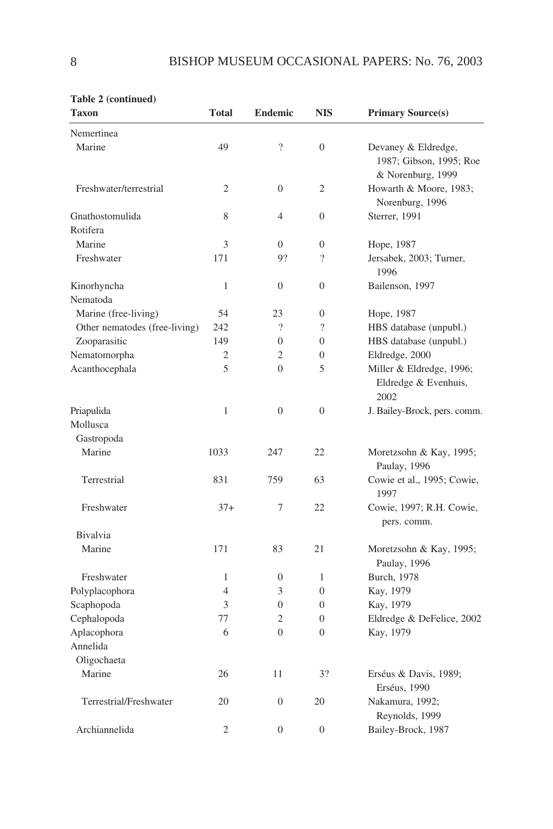| rable $\angle$ (continued)    |                |                          |                  |                                                                     |
|-------------------------------|----------------|--------------------------|------------------|---------------------------------------------------------------------|
| <b>Taxon</b>                  | <b>Total</b>   | <b>Endemic</b>           | <b>NIS</b>       | <b>Primary Source(s)</b>                                            |
| Nemertinea                    |                |                          |                  |                                                                     |
| Marine                        | 49             | $\overline{\mathcal{L}}$ | $\overline{0}$   | Devaney & Eldredge,<br>1987; Gibson, 1995; Roe<br>& Norenburg, 1999 |
| Freshwater/terrestrial        | 2              | $\overline{0}$           | 2                | Howarth & Moore, 1983;<br>Norenburg, 1996                           |
| Gnathostomulida               | 8              | 4                        | $\theta$         | Sterrer, 1991                                                       |
| Rotifera                      |                |                          |                  |                                                                     |
| Marine                        | 3              | $\overline{0}$           | $\boldsymbol{0}$ | Hope, 1987                                                          |
| Freshwater                    | 171            | 9?                       | $\gamma$         | Jersabek, 2003; Turner,<br>1996                                     |
| Kinorhyncha                   | $\mathbf{1}$   | $\theta$                 | $\Omega$         | Bailenson, 1997                                                     |
| Nematoda                      |                |                          |                  |                                                                     |
| Marine (free-living)          | 54             | 23                       | $\overline{0}$   | Hope, 1987                                                          |
| Other nematodes (free-living) | 242            | $\gamma$                 | $\gamma$         | HBS database (unpubl.)                                              |
| Zooparasitic                  | 149            | $\theta$                 | $\theta$         | HBS database (unpubl.)                                              |
| Nematomorpha                  | $\overline{c}$ | $\overline{c}$           | $\overline{0}$   | Eldredge, 2000                                                      |
| Acanthocephala                | 5              | $\overline{0}$           | 5                | Miller & Eldredge, 1996;<br>Eldredge & Evenhuis,<br>2002            |
| Priapulida                    | $\mathbf{1}$   | $\overline{0}$           | $\overline{0}$   | J. Bailey-Brock, pers. comm.                                        |
| Mollusca                      |                |                          |                  |                                                                     |
| Gastropoda                    |                |                          |                  |                                                                     |
| Marine                        | 1033           | 247                      | 22               | Moretzsohn & Kay, 1995;<br>Paulay, 1996                             |
| Terrestrial                   | 831            | 759                      | 63               | Cowie et al., 1995; Cowie,<br>1997                                  |
| Freshwater                    | $37+$          | 7                        | 22               | Cowie, 1997; R.H. Cowie,<br>pers. comm.                             |
| Bivalvia                      |                |                          |                  |                                                                     |
| Marine                        | 171            | 83                       | 21               | Moretzsohn & Kay, 1995;<br>Paulay, 1996                             |
| Freshwater                    | $\mathbf{1}$   | $\boldsymbol{0}$         | $\mathbf{1}$     | Burch, 1978                                                         |
| Polyplacophora                | $\overline{4}$ | 3                        | $\overline{0}$   | Kay, 1979                                                           |
| Scaphopoda                    | 3              | $\mathbf{0}$             | $\Omega$         | Kay, 1979                                                           |
| Cephalopoda                   | 77             | $\overline{c}$           | $\overline{0}$   | Eldredge & DeFelice, 2002                                           |
| Aplacophora                   | 6              | $\overline{0}$           | $\theta$         | Kay, 1979                                                           |
| Annelida                      |                |                          |                  |                                                                     |
| Oligochaeta                   |                |                          |                  |                                                                     |
| Marine                        | 26             | 11                       | 3?               | Erséus & Davis, 1989;                                               |
|                               |                |                          |                  | Erséus, 1990                                                        |
| Terrestrial/Freshwater        | 20             | $\boldsymbol{0}$         | 20               | Nakamura, 1992;<br>Reynolds, 1999                                   |
| Archiannelida                 | $\overline{2}$ | $\Omega$                 | $\Omega$         | Bailey-Brock, 1987                                                  |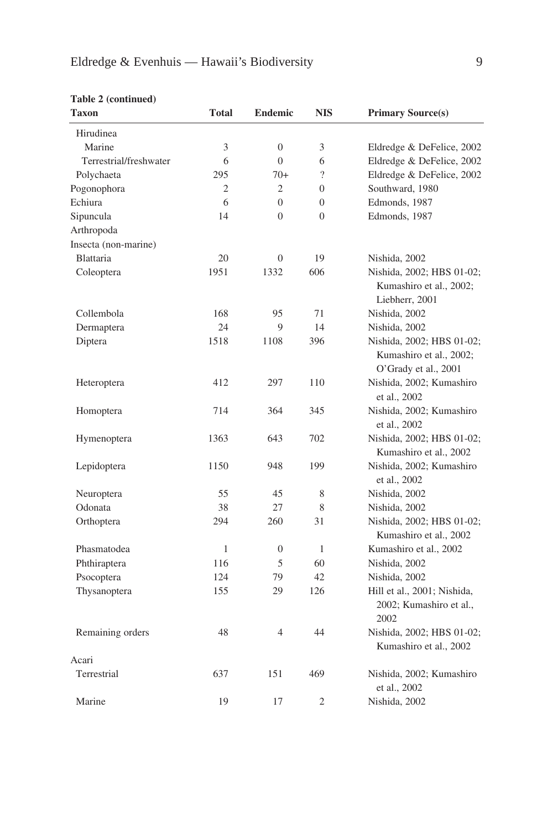| <b>Taxon</b>           | <b>Total</b>   | <b>Endemic</b> | <b>NIS</b>     | <b>Primary Source(s)</b>                                                     |
|------------------------|----------------|----------------|----------------|------------------------------------------------------------------------------|
| Hirudinea              |                |                |                |                                                                              |
| Marine                 | 3              | $\overline{0}$ | 3              | Eldredge & DeFelice, 2002                                                    |
| Terrestrial/freshwater | 6              | $\theta$       | 6              | Eldredge & DeFelice, 2002                                                    |
| Polychaeta             | 295            | $70+$          | $\gamma$       | Eldredge & DeFelice, 2002                                                    |
| Pogonophora            | $\mathfrak{2}$ | $\overline{c}$ | $\Omega$       | Southward, 1980                                                              |
| Echiura                | 6              | $\theta$       | $\Omega$       | Edmonds, 1987                                                                |
| Sipuncula              | 14             | $\theta$       | $\Omega$       | Edmonds, 1987                                                                |
| Arthropoda             |                |                |                |                                                                              |
| Insecta (non-marine)   |                |                |                |                                                                              |
| Blattaria              | 20             | $\overline{0}$ | 19             | Nishida, 2002                                                                |
| Coleoptera             | 1951           | 1332           | 606            | Nishida, 2002; HBS 01-02;<br>Kumashiro et al., 2002;<br>Liebherr, 2001       |
| Collembola             | 168            | 95             | 71             | Nishida, 2002                                                                |
| Dermaptera             | 24             | 9              | 14             | Nishida, 2002                                                                |
| Diptera                | 1518           | 1108           | 396            | Nishida, 2002; HBS 01-02;<br>Kumashiro et al., 2002;<br>O'Grady et al., 2001 |
| Heteroptera            | 412            | 297            | 110            | Nishida, 2002; Kumashiro<br>et al., 2002                                     |
| Homoptera              | 714            | 364            | 345            | Nishida, 2002; Kumashiro<br>et al., 2002                                     |
| Hymenoptera            | 1363           | 643            | 702            | Nishida, 2002; HBS 01-02;<br>Kumashiro et al., 2002                          |
| Lepidoptera            | 1150           | 948            | 199            | Nishida, 2002; Kumashiro<br>et al., 2002                                     |
| Neuroptera             | 55             | 45             | 8              | Nishida, 2002                                                                |
| Odonata                | 38             | 27             | 8              | Nishida, 2002                                                                |
| Orthoptera             | 294            | 260            | 31             | Nishida, 2002; HBS 01-02;<br>Kumashiro et al., 2002                          |
| Phasmatodea            | $\mathbf{1}$   | $\overline{0}$ | $\mathbf{1}$   | Kumashiro et al., 2002                                                       |
| Phthiraptera           | 116            | 5              | 60             | Nishida, 2002                                                                |
| Psocoptera             | 124            | 79             | 42             | Nishida, 2002                                                                |
| Thysanoptera           | 155            | 29             | 126            | Hill et al., 2001; Nishida,<br>2002; Kumashiro et al.,<br>2002               |
| Remaining orders       | 48             | $\overline{4}$ | 44             | Nishida, 2002; HBS 01-02;<br>Kumashiro et al., 2002                          |
| Acari                  |                |                |                |                                                                              |
| Terrestrial            | 637            | 151            | 469            | Nishida, 2002; Kumashiro<br>et al., 2002                                     |
| Marine                 | 19             | 17             | $\mathfrak{D}$ | Nishida, 2002                                                                |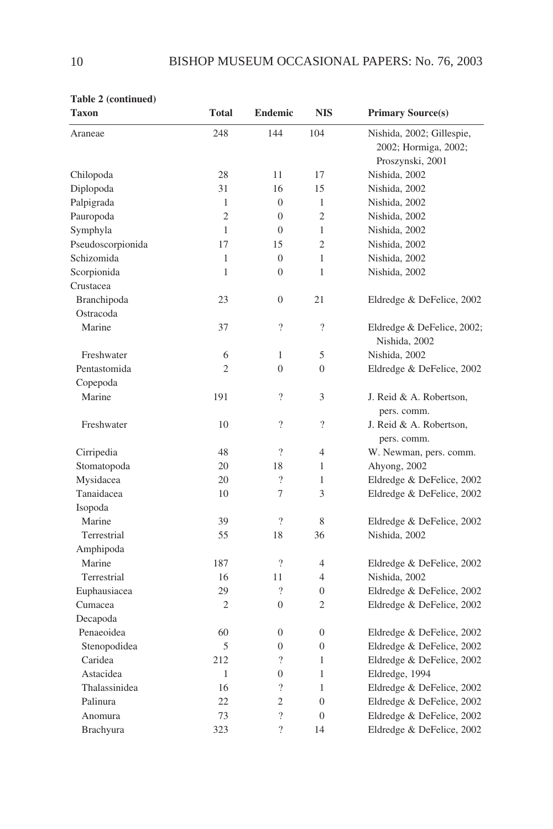| Taxon             | <b>Total</b>   | <b>Endemic</b>           | <b>NIS</b>               | <b>Primary Source(s)</b>               |
|-------------------|----------------|--------------------------|--------------------------|----------------------------------------|
| Araneae           | 248            | 144                      | 104                      | Nishida, 2002; Gillespie,              |
|                   |                |                          |                          | 2002; Hormiga, 2002;                   |
|                   |                |                          |                          | Proszynski, 2001                       |
| Chilopoda         | 28             | 11                       | 17                       | Nishida, 2002                          |
| Diplopoda         | 31             | 16                       | 15                       | Nishida, 2002                          |
| Palpigrada        | 1              | $\theta$                 | $\mathbf{1}$             | Nishida, 2002                          |
| Pauropoda         | $\overline{c}$ | $\overline{0}$           | $\overline{c}$           | Nishida, 2002                          |
| Symphyla          | 1              | $\overline{0}$           | $\mathbf{1}$             | Nishida, 2002                          |
| Pseudoscorpionida | 17             | 15                       | $\overline{c}$           | Nishida, 2002                          |
| Schizomida        | $\mathbf{1}$   | $\overline{0}$           | $\mathbf{1}$             | Nishida, 2002                          |
| Scorpionida       | $\mathbf{1}$   | $\theta$                 | 1                        | Nishida, 2002                          |
| Crustacea         |                |                          |                          |                                        |
| Branchipoda       | 23             | $\theta$                 | 21                       | Eldredge & DeFelice, 2002              |
| Ostracoda         |                |                          |                          |                                        |
| Marine            | 37             | $\overline{\mathcal{L}}$ | $\overline{\mathcal{L}}$ | Eldredge & DeFelice, 2002;             |
|                   |                |                          |                          | Nishida, 2002                          |
| Freshwater        | 6              | 1                        | 5                        | Nishida, 2002                          |
| Pentastomida      | $\overline{c}$ | $\theta$                 | $\theta$                 | Eldredge & DeFelice, 2002              |
| Copepoda          |                |                          |                          |                                        |
| Marine            | 191            | $\gamma$                 | 3                        | J. Reid & A. Robertson,                |
|                   |                |                          |                          | pers. comm.                            |
| Freshwater        | 10             | $\overline{\mathcal{L}}$ | $\overline{\mathcal{L}}$ | J. Reid & A. Robertson,<br>pers. comm. |
| Cirripedia        | 48             | $\overline{\mathcal{L}}$ | $\overline{4}$           | W. Newman, pers. comm.                 |
| Stomatopoda       | 20             | 18                       | $\mathbf{1}$             | Ahyong, 2002                           |
| Mysidacea         | 20             | $\overline{\mathcal{L}}$ | $\mathbf{1}$             | Eldredge & DeFelice, 2002              |
| Tanaidacea        | 10             | 7                        | 3                        | Eldredge & DeFelice, 2002              |
| Isopoda           |                |                          |                          |                                        |
| Marine            | 39             | $\gamma$                 | 8                        | Eldredge & DeFelice, 2002              |
| Terrestrial       | 55             | 18                       | 36                       | Nishida, 2002                          |
| Amphipoda         |                |                          |                          |                                        |
| Marine            | 187            | $\overline{\mathcal{L}}$ | 4                        | Eldredge & DeFelice, 2002              |
| Terrestrial       | 16             | 11                       | $\overline{4}$           | Nishida, 2002                          |
| Euphausiacea      | 29             | $\gamma$                 | $\overline{0}$           | Eldredge & DeFelice, 2002              |
| Cumacea           | 2              | $\overline{0}$           | $\overline{c}$           | Eldredge & DeFelice, 2002              |
| Decapoda          |                |                          |                          |                                        |
| Penaeoidea        | 60             | $\theta$                 | $\overline{0}$           | Eldredge & DeFelice, 2002              |
| Stenopodidea      | 5              | $\boldsymbol{0}$         | $\overline{0}$           | Eldredge & DeFelice, 2002              |
| Caridea           | 212            | $\overline{\mathcal{L}}$ | $\mathbf{1}$             | Eldredge & DeFelice, 2002              |
| Astacidea         | $\mathbf{1}$   | $\boldsymbol{0}$         | $\mathbf{1}$             | Eldredge, 1994                         |
| Thalassinidea     | 16             | $\overline{\phantom{a}}$ | $\mathbf{1}$             | Eldredge & DeFelice, 2002              |
| Palinura          | 22             | $\overline{c}$           | $\overline{0}$           | Eldredge & DeFelice, 2002              |
| Anomura           | 73             | $\overline{\mathcal{L}}$ | $\overline{0}$           | Eldredge & DeFelice, 2002              |
| <b>Brachyura</b>  | 323            | ?                        | 14                       | Eldredge & DeFelice, 2002              |
|                   |                |                          |                          |                                        |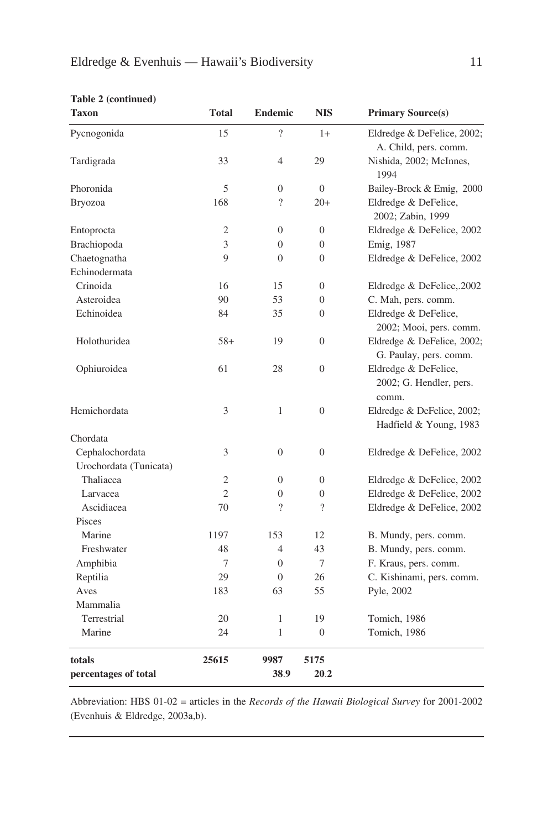| <b>Taxon</b>           | <b>Total</b>   | <b>Endemic</b>           | NIS                      | <b>Primary Source(s)</b>                                 |
|------------------------|----------------|--------------------------|--------------------------|----------------------------------------------------------|
| Pycnogonida            | 15             | $\overline{\mathcal{L}}$ | $1+$                     | Eldredge & DeFelice, 2002;<br>A. Child, pers. comm.      |
| Tardigrada             | 33             | $\overline{4}$           | 29                       | Nishida, 2002; McInnes,<br>1994                          |
| Phoronida              | 5              | $\overline{0}$           | $\Omega$                 | Bailey-Brock & Emig, 2000                                |
| <b>Bryozoa</b>         | 168            | $\overline{\phantom{a}}$ | $20+$                    | Eldredge & DeFelice,<br>2002; Zabin, 1999                |
| Entoprocta             | $\mathfrak{2}$ | $\overline{0}$           | $\Omega$                 | Eldredge & DeFelice, 2002                                |
| Brachiopoda            | 3              | $\Omega$                 | $\Omega$                 | Emig, 1987                                               |
| Chaetognatha           | 9              | $\theta$                 | $\Omega$                 | Eldredge & DeFelice, 2002                                |
| Echinodermata          |                |                          |                          |                                                          |
| Crinoida               | 16             | 15                       | $\overline{0}$           | Eldredge & DeFelice,.2002                                |
| Asteroidea             | 90             | 53                       | $\Omega$                 | C. Mah, pers. comm.                                      |
| Echinoidea             | 84             | 35                       | $\overline{0}$           | Eldredge & DeFelice,<br>2002; Mooi, pers. comm.          |
| Holothuridea           | $58+$          | 19                       | $\overline{0}$           | Eldredge & DeFelice, 2002;<br>G. Paulay, pers. comm.     |
| Ophiuroidea            | 61             | 28                       | $\overline{0}$           | Eldredge & DeFelice,<br>2002; G. Hendler, pers.<br>comm. |
| Hemichordata           | 3              | 1                        | $\Omega$                 | Eldredge & DeFelice, 2002;<br>Hadfield & Young, 1983     |
| Chordata               |                |                          |                          |                                                          |
| Cephalochordata        | 3              | $\overline{0}$           | $\overline{0}$           | Eldredge & DeFelice, 2002                                |
| Urochordata (Tunicata) |                |                          |                          |                                                          |
| Thaliacea              | $\overline{c}$ | $\overline{0}$           | $\overline{0}$           | Eldredge & DeFelice, 2002                                |
| Larvacea               | $\overline{c}$ | $\overline{0}$           | $\overline{0}$           | Eldredge & DeFelice, 2002                                |
| Ascidiacea             | 70             | $\overline{\phantom{a}}$ | $\overline{\mathcal{L}}$ | Eldredge & DeFelice, 2002                                |
| Pisces                 |                |                          |                          |                                                          |
| Marine                 | 1197           | 153                      | 12                       | B. Mundy, pers. comm.                                    |
| Freshwater             | 48             | $\overline{4}$           | 43                       | B. Mundy, pers. comm.                                    |
| Amphibia               | 7              | $\Omega$                 | 7                        | F. Kraus, pers. comm.                                    |
| Reptilia               | 29             | $\Omega$                 | 26                       | C. Kishinami, pers. comm.                                |
| Aves                   | 183            | 63                       | 55                       | Pyle, 2002                                               |
| Mammalia               |                |                          |                          |                                                          |
| Terrestrial            | 20             | 1                        | 19                       | Tomich, 1986                                             |
| Marine                 | 24             | 1                        | $\overline{0}$           | Tomich, 1986                                             |
| totals                 | 25615          | 9987                     | 5175                     |                                                          |
| percentages of total   |                | 38.9                     | 20.2                     |                                                          |

Abbreviation: HBS 01-02 = articles in the *Records of the Hawaii Biological Survey* for 2001-2002 (Evenhuis & Eldredge, 2003a,b).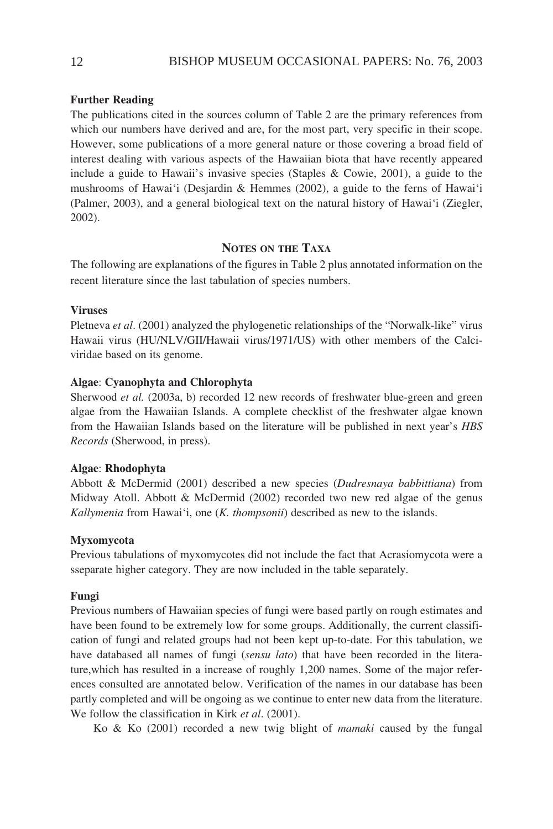# **Further Reading**

The publications cited in the sources column of Table 2 are the primary references from which our numbers have derived and are, for the most part, very specific in their scope. However, some publications of a more general nature or those covering a broad field of interest dealing with various aspects of the Hawaiian biota that have recently appeared include a guide to Hawaii's invasive species (Staples & Cowie, 2001), a guide to the mushrooms of Hawai'i (Desjardin & Hemmes (2002), a guide to the ferns of Hawai'i (Palmer, 2003), and a general biological text on the natural history of Hawai'i (Ziegler, 2002).

# **NOTES ON THE TAXA**

The following are explanations of the figures in Table 2 plus annotated information on the recent literature since the last tabulation of species numbers.

# **Viruses**

Pletneva *et al*. (2001) analyzed the phylogenetic relationships of the "Norwalk-like" virus Hawaii virus (HU/NLV/GII/Hawaii virus/1971/US) with other members of the Calciviridae based on its genome.

## **Algae**: **Cyanophyta and Chlorophyta**

Sherwood *et al.* (2003a, b) recorded 12 new records of freshwater blue-green and green algae from the Hawaiian Islands. A complete checklist of the freshwater algae known from the Hawaiian Islands based on the literature will be published in next year's *HBS Records* (Sherwood, in press).

## **Algae**: **Rhodophyta**

Abbott & McDermid (2001) described a new species (*Dudresnaya babbittiana*) from Midway Atoll. Abbott & McDermid (2002) recorded two new red algae of the genus *Kallymenia* from Hawai'i, one (*K. thompsonii*) described as new to the islands.

#### **Myxomycota**

Previous tabulations of myxomycotes did not include the fact that Acrasiomycota were a sseparate higher category. They are now included in the table separately.

#### **Fungi**

Previous numbers of Hawaiian species of fungi were based partly on rough estimates and have been found to be extremely low for some groups. Additionally, the current classification of fungi and related groups had not been kept up-to-date. For this tabulation, we have databased all names of fungi (*sensu lato*) that have been recorded in the literature,which has resulted in a increase of roughly 1,200 names. Some of the major references consulted are annotated below. Verification of the names in our database has been partly completed and will be ongoing as we continue to enter new data from the literature. We follow the classification in Kirk *et al*. (2001).

Ko & Ko (2001) recorded a new twig blight of *mamaki* caused by the fungal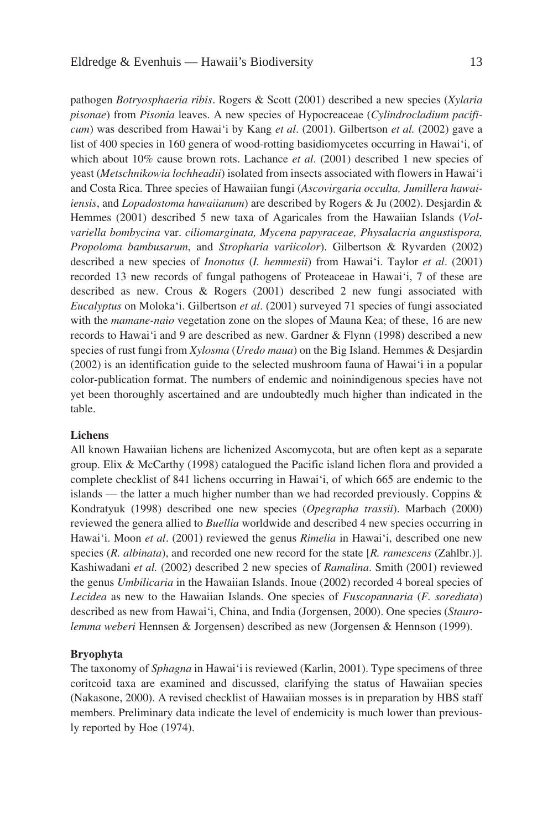pathogen *Botryosphaeria ribis*. Rogers & Scott (2001) described a new species (*Xylaria pisonae*) from *Pisonia* leaves. A new species of Hypocreaceae (*Cylindrocladium pacificum*) was described from Hawai'i by Kang *et al*. (2001). Gilbertson *et al.* (2002) gave a list of 400 species in 160 genera of wood-rotting basidiomycetes occurring in Hawai'i, of which about 10% cause brown rots. Lachance *et al*. (2001) described 1 new species of yeast (*Metschnikowia lochheadii*) isolated from insects associated with flowers in Hawai'i and Costa Rica. Three species of Hawaiian fungi (*Ascovirgaria occulta, Jumillera hawaiiensis*, and *Lopadostoma hawaiianum*) are described by Rogers & Ju (2002). Desjardin & Hemmes (2001) described 5 new taxa of Agaricales from the Hawaiian Islands (*Volvariella bombycina* var. *ciliomarginata, Mycena papyraceae, Physalacria angustispora, Propoloma bambusarum*, and *Stropharia variicolor*). Gilbertson & Ryvarden (2002) described a new species of *Inonotus* (*I. hemmesii*) from Hawai'i. Taylor *et al*. (2001) recorded 13 new records of fungal pathogens of Proteaceae in Hawai'i, 7 of these are described as new. Crous & Rogers (2001) described 2 new fungi associated with *Eucalyptus* on Moloka'i. Gilbertson *et al*. (2001) surveyed 71 species of fungi associated with the *mamane-naio* vegetation zone on the slopes of Mauna Kea; of these, 16 are new records to Hawai'i and 9 are described as new. Gardner & Flynn (1998) described a new species of rust fungi from *Xylosma* (*Uredo maua*) on the Big Island. Hemmes & Desjardin (2002) is an identification guide to the selected mushroom fauna of Hawai'i in a popular color-publication format. The numbers of endemic and noinindigenous species have not yet been thoroughly ascertained and are undoubtedly much higher than indicated in the table.

#### **Lichens**

All known Hawaiian lichens are lichenized Ascomycota, but are often kept as a separate group. Elix & McCarthy (1998) catalogued the Pacific island lichen flora and provided a complete checklist of 841 lichens occurring in Hawai'i, of which 665 are endemic to the islands — the latter a much higher number than we had recorded previously. Coppins  $\&$ Kondratyuk (1998) described one new species (*Opegrapha trassii*). Marbach (2000) reviewed the genera allied to *Buellia* worldwide and described 4 new species occurring in Hawai'i. Moon *et al*. (2001) reviewed the genus *Rimelia* in Hawai'i, described one new species (*R. albinata*), and recorded one new record for the state [*R. ramescens* (Zahlbr.)]. Kashiwadani *et al.* (2002) described 2 new species of *Ramalina*. Smith (2001) reviewed the genus *Umbilicaria* in the Hawaiian Islands. Inoue (2002) recorded 4 boreal species of *Lecidea* as new to the Hawaiian Islands. One species of *Fuscopannaria* (*F. sorediata*) described as new from Hawai'i, China, and India (Jorgensen, 2000). One species (*Staurolemma weberi* Hennsen & Jorgensen) described as new (Jorgensen & Hennson (1999).

# **Bryophyta**

The taxonomy of *Sphagna* in Hawai'i is reviewed (Karlin, 2001). Type specimens of three coritcoid taxa are examined and discussed, clarifying the status of Hawaiian species (Nakasone, 2000). A revised checklist of Hawaiian mosses is in preparation by HBS staff members. Preliminary data indicate the level of endemicity is much lower than previously reported by Hoe (1974).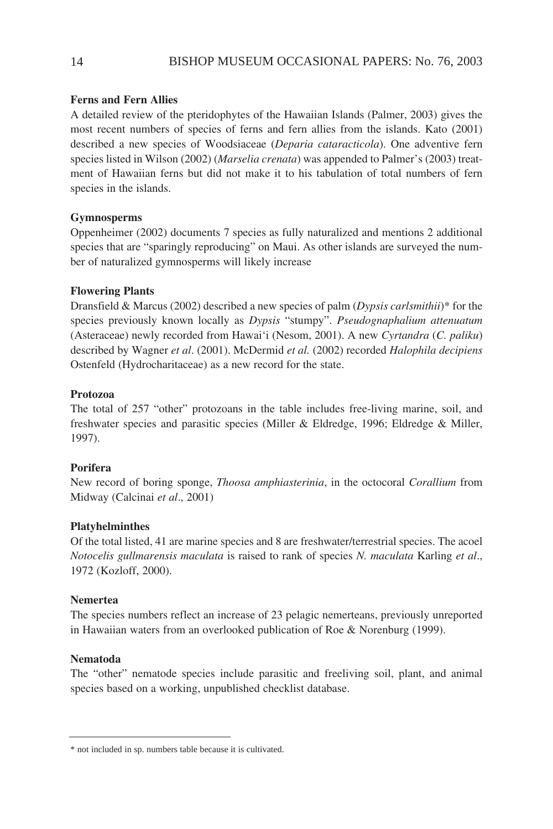# **Ferns and Fern Allies**

A detailed review of the pteridophytes of the Hawaiian Islands (Palmer, 2003) gives the most recent numbers of species of ferns and fern allies from the islands. Kato (2001) described a new species of Woodsiaceae (*Deparia cataracticola*). One adventive fern species listed in Wilson (2002) (*Marselia crenata*) was appended to Palmer's (2003) treatment of Hawaiian ferns but did not make it to his tabulation of total numbers of fern species in the islands.

# **Gymnosperms**

Oppenheimer (2002) documents 7 species as fully naturalized and mentions 2 additional species that are "sparingly reproducing" on Maui. As other islands are surveyed the number of naturalized gymnosperms will likely increase

# **Flowering Plants**

Dransfield & Marcus (2002) described a new species of palm (*Dypsis carlsmithii*)\* for the species previously known locally as *Dypsis* "stumpy". *Pseudognaphalium attenuatum* (Asteraceae) newly recorded from Hawai'i (Nesom, 2001). A new *Cyrtandra* (*C. paliku*) described by Wagner *et al*. (2001). McDermid *et al.* (2002) recorded *Halophila decipiens* Ostenfeld (Hydrocharitaceae) as a new record for the state.

# **Protozoa**

The total of 257 "other" protozoans in the table includes free-living marine, soil, and freshwater species and parasitic species (Miller & Eldredge, 1996; Eldredge & Miller, 1997).

# **Porifera**

New record of boring sponge, *Thoosa amphiasterinia*, in the octocoral *Corallium* from Midway (Calcinai *et al*., 2001)

# **Platyhelminthes**

Of the total listed, 41 are marine species and 8 are freshwater/terrestrial species. The acoel *Notocelis gullmarensis maculata* is raised to rank of species *N. maculata* Karling *et al*., 1972 (Kozloff, 2000).

# **Nemertea**

The species numbers reflect an increase of 23 pelagic nemerteans, previously unreported in Hawaiian waters from an overlooked publication of Roe & Norenburg (1999).

# **Nematoda**

The "other" nematode species include parasitic and freeliving soil, plant, and animal species based on a working, unpublished checklist database.

<sup>\*</sup> not included in sp. numbers table because it is cultivated.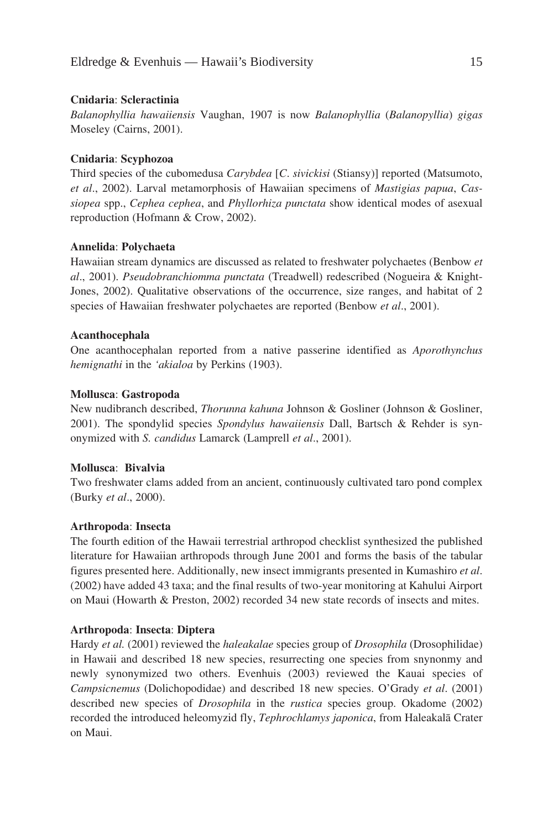#### **Cnidaria**: **Scleractinia**

*Balanophyllia hawaiiensis* Vaughan, 1907 is now *Balanophyllia* (*Balanopyllia*) *gigas* Moseley (Cairns, 2001).

## **Cnidaria**: **Scyphozoa**

Third species of the cubomedusa *Carybdea* [*C*. *sivickisi* (Stiansy)] reported (Matsumoto, *et al*., 2002). Larval metamorphosis of Hawaiian specimens of *Mastigias papua*, *Cassiopea* spp., *Cephea cephea*, and *Phyllorhiza punctata* show identical modes of asexual reproduction (Hofmann & Crow, 2002).

## **Annelida**: **Polychaeta**

Hawaiian stream dynamics are discussed as related to freshwater polychaetes (Benbow *et al*., 2001). *Pseudobranchiomma punctata* (Treadwell) redescribed (Nogueira & Knight-Jones, 2002). Qualitative observations of the occurrence, size ranges, and habitat of 2 species of Hawaiian freshwater polychaetes are reported (Benbow *et al*., 2001).

## **Acanthocephala**

One acanthocephalan reported from a native passerine identified as *Aporothynchus hemignathi* in the *'akialoa* by Perkins (1903).

## **Mollusca**: **Gastropoda**

New nudibranch described, *Thorunna kahuna* Johnson & Gosliner (Johnson & Gosliner, 2001). The spondylid species *Spondylus hawaiiensis* Dall, Bartsch & Rehder is synonymized with *S. candidus* Lamarck (Lamprell *et al*., 2001).

#### **Mollusca**: **Bivalvia**

Two freshwater clams added from an ancient, continuously cultivated taro pond complex (Burky *et al*., 2000).

#### **Arthropoda**: **Insecta**

The fourth edition of the Hawaii terrestrial arthropod checklist synthesized the published literature for Hawaiian arthropods through June 2001 and forms the basis of the tabular figures presented here. Additionally, new insect immigrants presented in Kumashiro *et al*. (2002) have added 43 taxa; and the final results of two-year monitoring at Kahului Airport on Maui (Howarth & Preston, 2002) recorded 34 new state records of insects and mites.

#### **Arthropoda**: **Insecta**: **Diptera**

Hardy *et al.* (2001) reviewed the *haleakalae* species group of *Drosophila* (Drosophilidae) in Hawaii and described 18 new species, resurrecting one species from snynonmy and newly synonymized two others. Evenhuis (2003) reviewed the Kauai species of *Campsicnemus* (Dolichopodidae) and described 18 new species. O'Grady *et al*. (2001) described new species of *Drosophila* in the *rustica* species group. Okadome (2002) recorded the introduced heleomyzid fly, *Tephrochlamys japonica*, from Haleakalä Crater on Maui.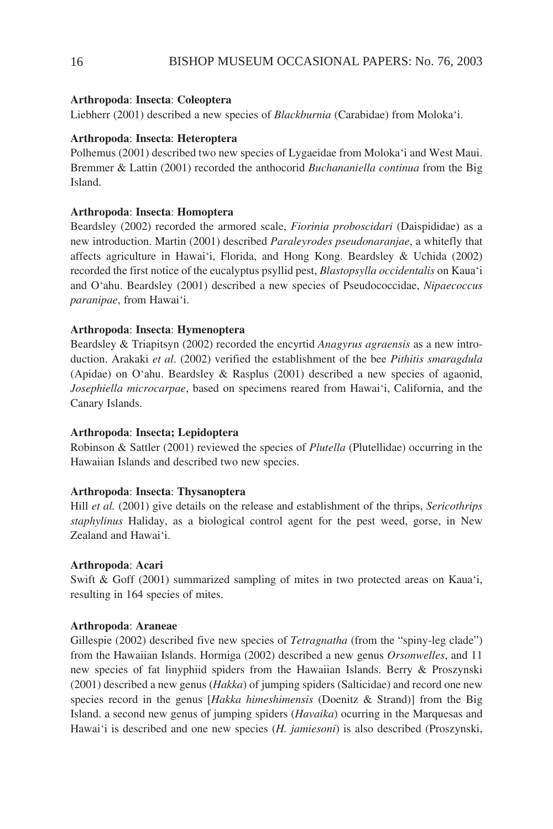# **Arthropoda**: **Insecta**: **Coleoptera**

Liebherr (2001) described a new species of *Blackburnia* (Carabidae) from Moloka'i.

# **Arthropoda**: **Insecta**: **Heteroptera**

Polhemus (2001) described two new species of Lygaeidae from Moloka'i and West Maui. Bremmer & Lattin (2001) recorded the anthocorid *Buchananiella continua* from the Big Island.

# **Arthropoda**: **Insecta**: **Homoptera**

Beardsley (2002) recorded the armored scale, *Fiorinia proboscidari* (Daispididae) as a new introduction. Martin (2001) described *Paraleyrodes pseudonaranjae*, a whitefly that affects agriculture in Hawai'i, Florida, and Hong Kong. Beardsley & Uchida (2002) recorded the first notice of the eucalyptus psyllid pest, *Blastopsylla occidentalis* on Kaua'i and O'ahu. Beardsley (2001) described a new species of Pseudococcidae, *Nipaecoccus paranipae*, from Hawai'i.

# **Arthropoda**: **Insecta**: **Hymenoptera**

Beardsley & Triapitsyn (2002) recorded the encyrtid *Anagyrus agraensis* as a new introduction. Arakaki *et al*. (2002) verified the establishment of the bee *Pithitis smaragdula* (Apidae) on O'ahu. Beardsley & Rasplus (2001) described a new species of agaonid, *Josephiella microcarpae*, based on specimens reared from Hawai'i, California, and the Canary Islands.

# **Arthropoda**: **Insecta; Lepidoptera**

Robinson & Sattler (2001) reviewed the species of *Plutella* (Plutellidae) occurring in the Hawaiian Islands and described two new species.

# **Arthropoda**: **Insecta**: **Thysanoptera**

Hill *et al.* (2001) give details on the release and establishment of the thrips, *Sericothrips staphylinus* Haliday, as a biological control agent for the pest weed, gorse, in New Zealand and Hawai'i.

# **Arthropoda**: **Acari**

Swift & Goff (2001) summarized sampling of mites in two protected areas on Kaua'i, resulting in 164 species of mites.

# **Arthropoda**: **Araneae**

Gillespie (2002) described five new species of *Tetragnatha* (from the "spiny-leg clade") from the Hawaiian Islands. Hormiga (2002) described a new genus *Orsonwelles*, and 11 new species of fat linyphiid spiders from the Hawaiian Islands. Berry & Proszynski (2001) described a new genus (*Hakka*) of jumping spiders (Salticidae) and record one new species record in the genus [*Hakka himeshimensis* (Doenitz & Strand)] from the Big Island. a second new genus of jumping spiders (*Havaika*) ocurring in the Marquesas and Hawai'i is described and one new species (*H. jamiesoni*) is also described (Proszynski,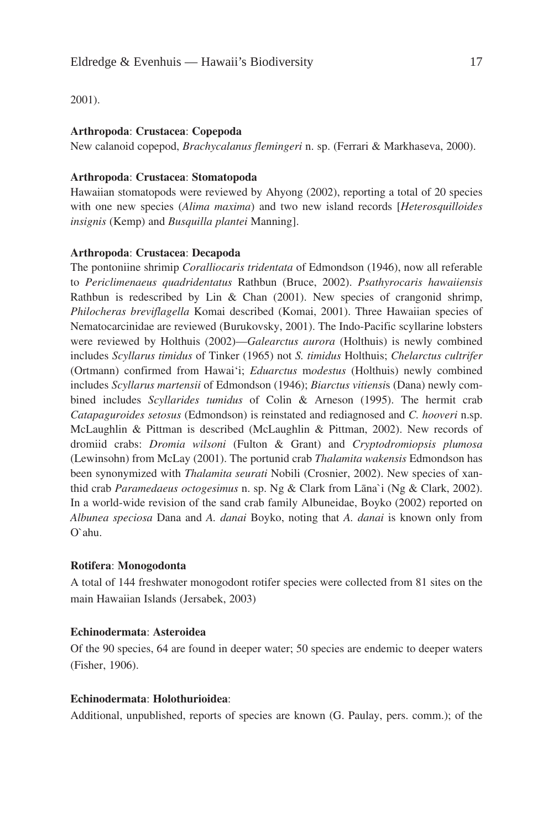2001).

#### **Arthropoda**: **Crustacea**: **Copepoda**

New calanoid copepod, *Brachycalanus flemingeri* n. sp. (Ferrari & Markhaseva, 2000).

# **Arthropoda**: **Crustacea**: **Stomatopoda**

Hawaiian stomatopods were reviewed by Ahyong (2002), reporting a total of 20 species with one new species (*Alima maxima*) and two new island records [*Heterosquilloides insignis* (Kemp) and *Busquilla plantei* Manning].

# **Arthropoda**: **Crustacea**: **Decapoda**

The pontoniine shrimip *Coralliocaris tridentata* of Edmondson (1946), now all referable to *Periclimenaeus quadridentatus* Rathbun (Bruce, 2002). *Psathyrocaris hawaiiensis* Rathbun is redescribed by Lin & Chan (2001). New species of crangonid shrimp, *Philocheras breviflagella* Komai described (Komai, 2001). Three Hawaiian species of Nematocarcinidae are reviewed (Burukovsky, 2001). The Indo-Pacific scyllarine lobsters were reviewed by Holthuis (2002)—*Galearctus aurora* (Holthuis) is newly combined includes *Scyllarus timidus* of Tinker (1965) not *S. timidus* Holthuis; *Chelarctus cultrifer* (Ortmann) confirmed from Hawai'i; *Eduarctus* m*odestus* (Holthuis) newly combined includes *Scyllarus martensii* of Edmondson (1946); *Biarctus vitiensi*s (Dana) newly combined includes *Scyllarides tumidus* of Colin & Arneson (1995). The hermit crab *Catapaguroides setosus* (Edmondson) is reinstated and rediagnosed and *C. hooveri* n.sp. McLaughlin & Pittman is described (McLaughlin & Pittman, 2002). New records of dromiid crabs: *Dromia wilsoni* (Fulton & Grant) and *Cryptodromiopsis plumosa* (Lewinsohn) from McLay (2001). The portunid crab *Thalamita wakensis* Edmondson has been synonymized with *Thalamita seurati* Nobili (Crosnier, 2002). New species of xanthid crab *Paramedaeus octogesimus* n. sp. Ng & Clark from Läna`i (Ng & Clark, 2002). In a world-wide revision of the sand crab family Albuneidae, Boyko (2002) reported on *Albunea speciosa* Dana and *A. danai* Boyko, noting that *A. danai* is known only from O`ahu.

#### **Rotifera**: **Monogodonta**

A total of 144 freshwater monogodont rotifer species were collected from 81 sites on the main Hawaiian Islands (Jersabek, 2003)

#### **Echinodermata**: **Asteroidea**

Of the 90 species, 64 are found in deeper water; 50 species are endemic to deeper waters (Fisher, 1906).

#### **Echinodermata**: **Holothurioidea**:

Additional, unpublished, reports of species are known (G. Paulay, pers. comm.); of the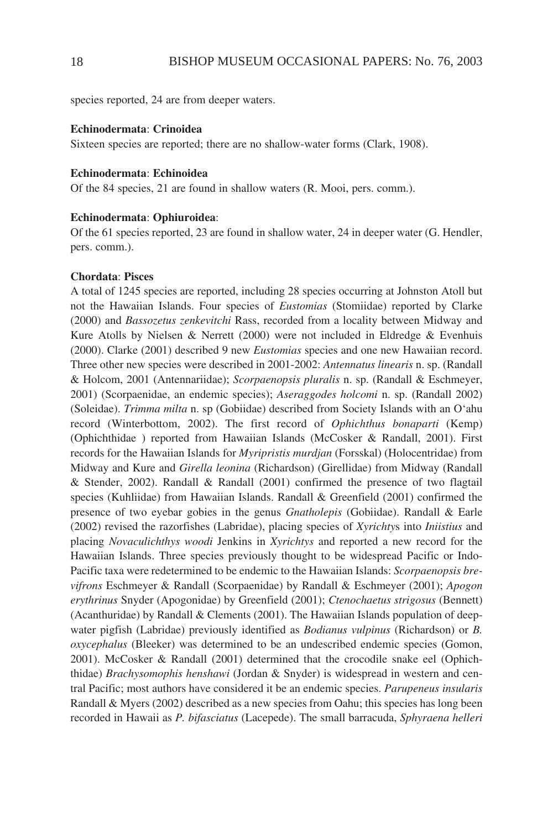species reported, 24 are from deeper waters.

#### **Echinodermata**: **Crinoidea**

Sixteen species are reported; there are no shallow-water forms (Clark, 1908).

#### **Echinodermata**: **Echinoidea**

Of the 84 species, 21 are found in shallow waters (R. Mooi, pers. comm.).

#### **Echinodermata**: **Ophiuroidea**:

Of the 61 species reported, 23 are found in shallow water, 24 in deeper water (G. Hendler, pers. comm.).

#### **Chordata**: **Pisces**

A total of 1245 species are reported, including 28 species occurring at Johnston Atoll but not the Hawaiian Islands. Four species of *Eustomias* (Stomiidae) reported by Clarke (2000) and *Bassozetus zenkevitchi* Rass, recorded from a locality between Midway and Kure Atolls by Nielsen & Nerrett (2000) were not included in Eldredge & Evenhuis (2000). Clarke (2001) described 9 new *Eustomias* species and one new Hawaiian record. Three other new species were described in 2001-2002: *Antennatus linearis* n. sp. (Randall & Holcom, 2001 (Antennariidae); *Scorpaenopsis pluralis* n. sp. (Randall & Eschmeyer, 2001) (Scorpaenidae, an endemic species); *Aseraggodes holcomi* n. sp. (Randall 2002) (Soleidae). *Trimma milta* n. sp (Gobiidae) described from Society Islands with an O'ahu record (Winterbottom, 2002). The first record of *Ophichthus bonaparti* (Kemp) (Ophichthidae ) reported from Hawaiian Islands (McCosker & Randall, 2001). First records for the Hawaiian Islands for *Myripristis murdjan* (Forsskal) (Holocentridae) from Midway and Kure and *Girella leonina* (Richardson) (Girellidae) from Midway (Randall & Stender, 2002). Randall & Randall (2001) confirmed the presence of two flagtail species (Kuhliidae) from Hawaiian Islands. Randall & Greenfield (2001) confirmed the presence of two eyebar gobies in the genus *Gnatholepis* (Gobiidae). Randall & Earle (2002) revised the razorfishes (Labridae), placing species of *Xyrichty*s into *Iniistius* and placing *Novaculichthys woodi* Jenkins in *Xyrichtys* and reported a new record for the Hawaiian Islands. Three species previously thought to be widespread Pacific or Indo-Pacific taxa were redetermined to be endemic to the Hawaiian Islands: *Scorpaenopsis brevifrons* Eschmeyer & Randall (Scorpaenidae) by Randall & Eschmeyer (2001); *Apogon erythrinus* Snyder (Apogonidae) by Greenfield (2001); *Ctenochaetus strigosus* (Bennett) (Acanthuridae) by Randall & Clements (2001). The Hawaiian Islands population of deepwater pigfish (Labridae) previously identified as *Bodianus vulpinus* (Richardson) or *B. oxycephalus* (Bleeker) was determined to be an undescribed endemic species (Gomon, 2001). McCosker & Randall (2001) determined that the crocodile snake eel (Ophichthidae) *Brachysomophis henshawi* (Jordan & Snyder) is widespread in western and central Pacific; most authors have considered it be an endemic species. *Parupeneus insularis* Randall & Myers (2002) described as a new species from Oahu; this species has long been recorded in Hawaii as *P. bifasciatus* (Lacepede). The small barracuda, *Sphyraena helleri*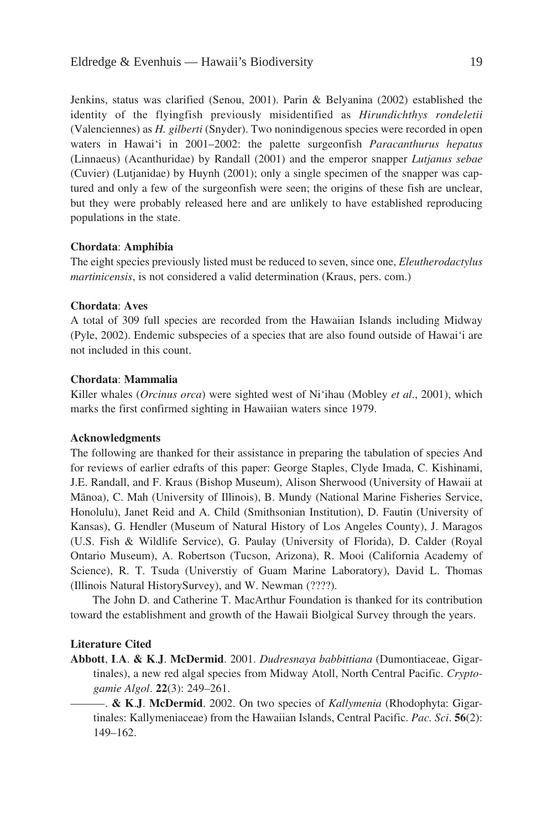Jenkins, status was clarified (Senou, 2001). Parin & Belyanina (2002) established the identity of the flyingfish previously misidentified as *Hirundichthys rondeletii* (Valenciennes) as *H. gilberti* (Snyder). Two nonindigenous species were recorded in open waters in Hawai'i in 2001–2002: the palette surgeonfish *Paracanthurus hepatus* (Linnaeus) (Acanthuridae) by Randall (2001) and the emperor snapper *Lutjanus sebae* (Cuvier) (Lutjanidae) by Huynh (2001); only a single specimen of the snapper was captured and only a few of the surgeonfish were seen; the origins of these fish are unclear, but they were probably released here and are unlikely to have established reproducing populations in the state.

#### **Chordata**: **Amphibia**

The eight species previously listed must be reduced to seven, since one, *Eleutherodactylus martinicensis*, is not considered a valid determination (Kraus, pers. com.)

#### **Chordata**: **Aves**

A total of 309 full species are recorded from the Hawaiian Islands including Midway (Pyle, 2002). Endemic subspecies of a species that are also found outside of Hawai'i are not included in this count.

#### **Chordata**: **Mammalia**

Killer whales (*Orcinus orca*) were sighted west of Ni'ihau (Mobley *et al*., 2001), which marks the first confirmed sighting in Hawaiian waters since 1979.

#### **Acknowledgments**

The following are thanked for their assistance in preparing the tabulation of species And for reviews of earlier edrafts of this paper: George Staples, Clyde Imada, C. Kishinami, J.E. Randall, and F. Kraus (Bishop Museum), Alison Sherwood (University of Hawaii at Mänoa), C. Mah (University of Illinois), B. Mundy (National Marine Fisheries Service, Honolulu), Janet Reid and A. Child (Smithsonian Institution), D. Fautin (University of Kansas), G. Hendler (Museum of Natural History of Los Angeles County), J. Maragos (U.S. Fish & Wildlife Service), G. Paulay (University of Florida), D. Calder (Royal Ontario Museum), A. Robertson (Tucson, Arizona), R. Mooi (California Academy of Science), R. T. Tsuda (Universtiy of Guam Marine Laboratory), David L. Thomas (Illinois Natural HistorySurvey), and W. Newman (????).

The John D. and Catherine T. MacArthur Foundation is thanked for its contribution toward the establishment and growth of the Hawaii Biolgical Survey through the years.

#### **Literature Cited**

**Abbott**, **I**.**A**. **& K**.**J**. **McDermid**. 2001. *Dudresnaya babbittiana* (Dumontiaceae, Gigartinales), a new red algal species from Midway Atoll, North Central Pacific. *Cryptogamie Algol*. **22**(3): 249–261.

———. **& K**.**J**. **McDermid**. 2002. On two species of *Kallymenia* (Rhodophyta: Gigartinales: Kallymeniaceae) from the Hawaiian Islands, Central Pacific. *Pac. Sci*. **56**(2): 149–162.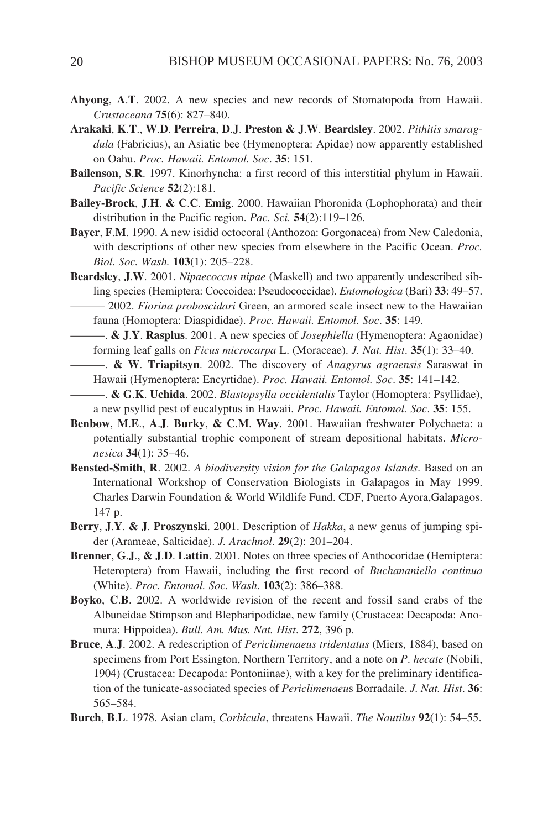- **Ahyong**, **A**.**T**. 2002. A new species and new records of Stomatopoda from Hawaii. *Crustaceana* **75**(6): 827–840.
- **Arakaki**, **K**.**T**., **W**.**D**. **Perreira**, **D**.**J**. **Preston & J**.**W**. **Beardsley**. 2002. *Pithitis smaragdula* (Fabricius), an Asiatic bee (Hymenoptera: Apidae) now apparently established on Oahu. *Proc. Hawaii. Entomol. Soc*. **35**: 151.
- **Bailenson**, **S**.**R**. 1997. Kinorhyncha: a first record of this interstitial phylum in Hawaii. *Pacific Science* **52**(2):181.
- **Bailey-Brock**, **J**.**H**. **& C**.**C**. **Emig**. 2000. Hawaiian Phoronida (Lophophorata) and their distribution in the Pacific region. *Pac. Sci.* **54**(2):119–126.
- **Bayer**, **F**.**M**. 1990. A new isidid octocoral (Anthozoa: Gorgonacea) from New Caledonia, with descriptions of other new species from elsewhere in the Pacific Ocean. *Proc. Biol. Soc. Wash.* **103**(1): 205–228.
- **Beardsley**, **J**.**W**. 2001. *Nipaecoccus nipae* (Maskell) and two apparently undescribed sibling species (Hemiptera: Coccoidea: Pseudococcidae). *Entomologica* (Bari) **33**: 49–57. ——— 2002. *Fiorina proboscidari* Green, an armored scale insect new to the Hawaiian

fauna (Homoptera: Diaspididae). *Proc. Hawaii. Entomol. Soc*. **35**: 149. ———. **& J**.**Y**. **Rasplus**. 2001. A new species of *Josephiella* (Hymenoptera: Agaonidae)

- forming leaf galls on *Ficus microcarpa* L. (Moraceae). *J. Nat. Hist*. **35**(1): 33–40.
- ———. **& W**. **Triapitsyn**. 2002. The discovery of *Anagyrus agraensis* Saraswat in Hawaii (Hymenoptera: Encyrtidae). *Proc. Hawaii. Entomol. Soc*. **35**: 141–142.
- ———. **& G**.**K**. **Uchida**. 2002. *Blastopsylla occidentalis* Taylor (Homoptera: Psyllidae), a new psyllid pest of eucalyptus in Hawaii. *Proc. Hawaii. Entomol. Soc*. **35**: 155.
- **Benbow**, **M**.**E**., **A**.**J**. **Burky**, **& C**.**M**. **Way**. 2001. Hawaiian freshwater Polychaeta: a potentially substantial trophic component of stream depositional habitats. *Micronesica* **34**(1): 35–46.
- **Bensted-Smith**, **R**. 2002. *A biodiversity vision for the Galapagos Islands*. Based on an International Workshop of Conservation Biologists in Galapagos in May 1999. Charles Darwin Foundation & World Wildlife Fund. CDF, Puerto Ayora,Galapagos. 147 p.
- **Berry**, **J**.**Y**. **& J**. **Proszynski**. 2001. Description of *Hakka*, a new genus of jumping spider (Arameae, Salticidae). *J. Arachnol*. **29**(2): 201–204.
- **Brenner**, **G**.**J**., **& J**.**D**. **Lattin**. 2001. Notes on three species of Anthocoridae (Hemiptera: Heteroptera) from Hawaii, including the first record of *Buchananiella continua* (White). *Proc. Entomol. Soc. Wash*. **103**(2): 386–388.
- **Boyko**, **C**.**B**. 2002. A worldwide revision of the recent and fossil sand crabs of the Albuneidae Stimpson and Blepharipodidae, new family (Crustacea: Decapoda: Anomura: Hippoidea). *Bull. Am. Mus. Nat. Hist*. **272**, 396 p.
- **Bruce**, **A**.**J**. 2002. A redescription of *Periclimenaeus tridentatus* (Miers, 1884), based on specimens from Port Essington, Northern Territory, and a note on *P*. *hecate* (Nobili, 1904) (Crustacea: Decapoda: Pontoniinae), with a key for the preliminary identification of the tunicate-associated species of *Periclimenaeu*s Borradaile. *J. Nat. Hist*. **36**: 565–584.
- **Burch**, **B**.**L**. 1978. Asian clam, *Corbicula*, threatens Hawaii. *The Nautilus* **92**(1): 54–55.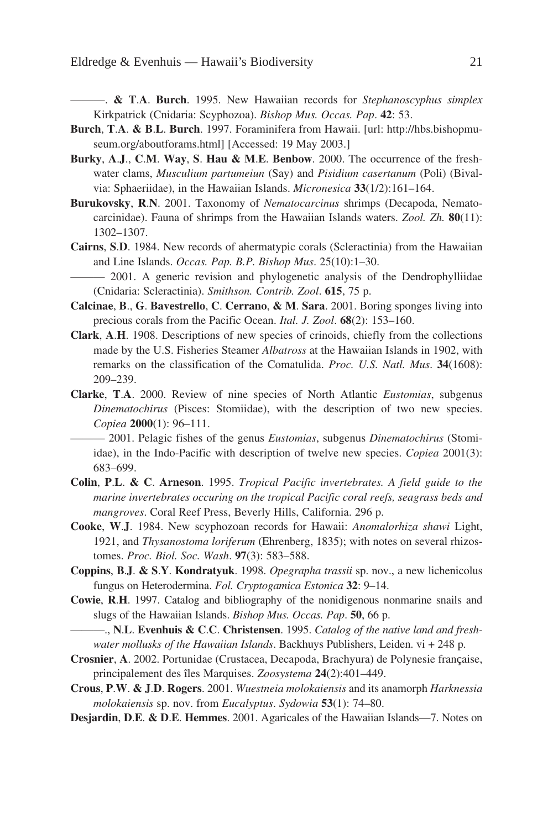———. **& T**.**A**. **Burch**. 1995. New Hawaiian records for *Stephanoscyphus simplex* Kirkpatrick (Cnidaria: Scyphozoa). *Bishop Mus. Occas. Pap*. **42**: 53.

- **Burch**, **T**.**A**. **& B**.**L**. **Burch**. 1997. Foraminifera from Hawaii. [url: http://hbs.bishopmuseum.org/aboutforams.html] [Accessed: 19 May 2003.]
- **Burky**, **A**.**J**., **C**.**M**. **Way**, **S**. **Hau & M**.**E**. **Benbow**. 2000. The occurrence of the freshwater clams, *Musculium partumeiun* (Say) and *Pisidium casertanum* (Poli) (Bivalvia: Sphaeriidae), in the Hawaiian Islands. *Micronesica* **33**(1/2):161–164.
- **Burukovsky**, **R**.**N**. 2001. Taxonomy of *Nematocarcinus* shrimps (Decapoda, Nematocarcinidae). Fauna of shrimps from the Hawaiian Islands waters. *Zool. Zh.* **80**(11): 1302–1307.
- **Cairns**, **S**.**D**. 1984. New records of ahermatypic corals (Scleractinia) from the Hawaiian and Line Islands. *Occas. Pap. B.P. Bishop Mus*. 25(10):1–30.
- ——— 2001. A generic revision and phylogenetic analysis of the Dendrophylliidae (Cnidaria: Scleractinia). *Smithson. Contrib. Zool*. **615**, 75 p.
- **Calcinae**, **B**., **G**. **Bavestrello**, **C**. **Cerrano**, **& M**. **Sara**. 2001. Boring sponges living into precious corals from the Pacific Ocean. *Ital. J. Zool*. **68**(2): 153–160.
- **Clark**, **A**.**H**. 1908. Descriptions of new species of crinoids, chiefly from the collections made by the U.S. Fisheries Steamer *Albatross* at the Hawaiian Islands in 1902, with remarks on the classification of the Comatulida. *Proc. U.S. Natl. Mus*. **34**(1608): 209–239.
- **Clarke**, **T**.**A**. 2000. Review of nine species of North Atlantic *Eustomias*, subgenus *Dinematochirus* (Pisces: Stomiidae), with the description of two new species. *Copiea* **2000**(1): 96–111.

——— 2001. Pelagic fishes of the genus *Eustomias*, subgenus *Dinematochirus* (Stomiidae), in the Indo-Pacific with description of twelve new species. *Copiea* 2001(3): 683–699.

- **Colin**, **P**.**L**. **& C**. **Arneson**. 1995. *Tropical Pacific invertebrates. A field guide to the marine invertebrates occuring on the tropical Pacific coral reefs, seagrass beds and mangroves*. Coral Reef Press, Beverly Hills, California. 296 p.
- **Cooke**, **W**.**J**. 1984. New scyphozoan records for Hawaii: *Anomalorhiza shawi* Light, 1921, and *Thysanostoma loriferum* (Ehrenberg, 1835); with notes on several rhizostomes. *Proc. Biol. Soc. Wash*. **97**(3): 583–588.
- **Coppins**, **B**.**J**. **& S**.**Y**. **Kondratyuk**. 1998. *Opegrapha trassii* sp. nov., a new lichenicolus fungus on Heterodermina. *Fol. Cryptogamica Estonica* **32**: 9–14.
- **Cowie**, **R**.**H**. 1997. Catalog and bibliography of the nonidigenous nonmarine snails and slugs of the Hawaiian Islands. *Bishop Mus. Occas. Pap*. **50**, 66 p.

———., **N**.**L**. **Evenhuis & C**.**C**. **Christensen**. 1995. *Catalog of the native land and freshwater mollusks of the Hawaiian Islands*. Backhuys Publishers, Leiden. vi + 248 p.

- **Crosnier**, **A**. 2002. Portunidae (Crustacea, Decapoda, Brachyura) de Polynesie française, principalement des îles Marquises. *Zoosystema* **24**(2):401–449.
- **Crous**, **P**.**W**. **& J**.**D**. **Rogers**. 2001. *Wuestneia molokaiensis* and its anamorph *Harknessia molokaiensis* sp. nov. from *Eucalyptus*. *Sydowia* **53**(1): 74–80.
- **Desjardin**, **D**.**E**. **& D**.**E**. **Hemmes**. 2001. Agaricales of the Hawaiian Islands—7. Notes on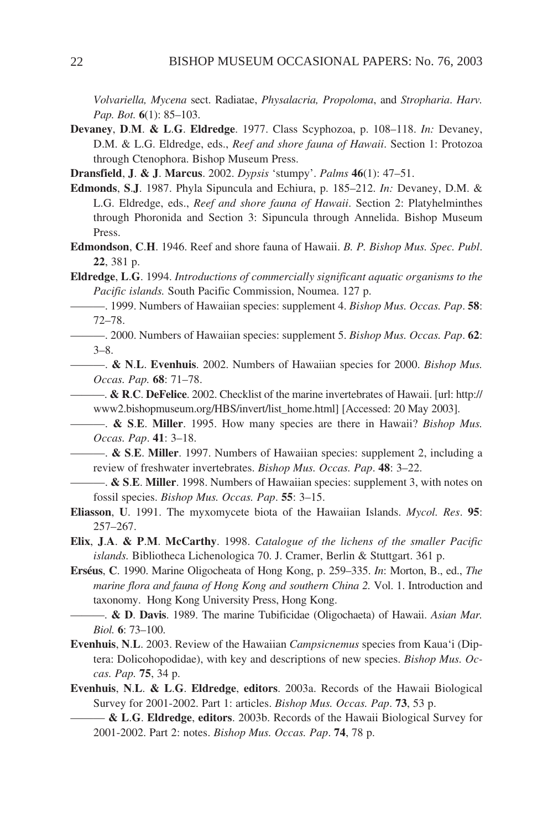*Volvariella, Mycena* sect. Radiatae, *Physalacria, Propoloma*, and *Stropharia*. *Harv. Pap. Bot.* **6**(1): 85–103.

- **Devaney**, **D**.**M**. **& L**.**G**. **Eldredge**. 1977. Class Scyphozoa, p. 108–118. *In:* Devaney, D.M. & L.G. Eldredge, eds., *Reef and shore fauna of Hawaii*. Section 1: Protozoa through Ctenophora. Bishop Museum Press.
- **Dransfield**, **J**. **& J**. **Marcus**. 2002. *Dypsis* 'stumpy'. *Palms* **46**(1): 47–51.
- **Edmonds**, **S**.**J**. 1987. Phyla Sipuncula and Echiura, p. 185–212. *In:* Devaney, D.M. & L.G. Eldredge, eds., *Reef and shore fauna of Hawaii*. Section 2: Platyhelminthes through Phoronida and Section 3: Sipuncula through Annelida. Bishop Museum Press.
- **Edmondson**, **C**.**H**. 1946. Reef and shore fauna of Hawaii. *B. P. Bishop Mus. Spec. Publ*. **22**, 381 p.
- **Eldredge**, **L**.**G**. 1994. *Introductions of commercially significant aquatic organisms to the Pacific islands.* South Pacific Commission, Noumea. 127 p.

———. 1999. Numbers of Hawaiian species: supplement 4. *Bishop Mus. Occas. Pap*. **58**: 72–78.

- ———. 2000. Numbers of Hawaiian species: supplement 5. *Bishop Mus. Occas. Pap*. **62**: 3–8.
- ———. **& N**.**L**. **Evenhuis**. 2002. Numbers of Hawaiian species for 2000. *Bishop Mus. Occas. Pap.* **68**: 71–78.

———. **& R**.**C**. **DeFelice**. 2002. Checklist of the marine invertebrates of Hawaii. [url: http:// www2.bishopmuseum.org/HBS/invert/list\_home.html] [Accessed: 20 May 2003].

- ———. **& S**.**E**. **Miller**. 1995. How many species are there in Hawaii? *Bishop Mus. Occas. Pap*. **41**: 3–18.
- ———. **& S**.**E**. **Miller**. 1997. Numbers of Hawaiian species: supplement 2, including a review of freshwater invertebrates. *Bishop Mus. Occas. Pap*. **48**: 3–22.
- ———. **& S**.**E**. **Miller**. 1998. Numbers of Hawaiian species: supplement 3, with notes on fossil species. *Bishop Mus. Occas. Pap*. **55**: 3–15.
- **Eliasson**, **U**. 1991. The myxomycete biota of the Hawaiian Islands. *Mycol. Res*. **95**: 257–267.
- **Elix**, **J**.**A**. **& P**.**M**. **McCarthy**. 1998. *Catalogue of the lichens of the smaller Pacific islands.* Bibliotheca Lichenologica 70. J. Cramer, Berlin & Stuttgart. 361 p.
- **Erséus**, **C**. 1990. Marine Oligocheata of Hong Kong, p. 259–335. *In*: Morton, B., ed., *The marine flora and fauna of Hong Kong and southern China 2.* Vol. 1. Introduction and taxonomy. Hong Kong University Press, Hong Kong.
	- ———. **& D**. **Davis**. 1989. The marine Tubificidae (Oligochaeta) of Hawaii. *Asian Mar. Biol.* **6**: 73–100.
- **Evenhuis**, **N**.**L**. 2003. Review of the Hawaiian *Campsicnemus* species from Kaua'i (Diptera: Dolicohopodidae), with key and descriptions of new species. *Bishop Mus. Occas. Pap.* **75**, 34 p.
- **Evenhuis**, **N**.**L**. **& L**.**G**. **Eldredge**, **editors**. 2003a. Records of the Hawaii Biological Survey for 2001-2002. Part 1: articles. *Bishop Mus. Occas. Pap*. **73**, 53 p.
	- ——— **& L**.**G**. **Eldredge**, **editors**. 2003b. Records of the Hawaii Biological Survey for 2001-2002. Part 2: notes. *Bishop Mus. Occas. Pap*. **74**, 78 p.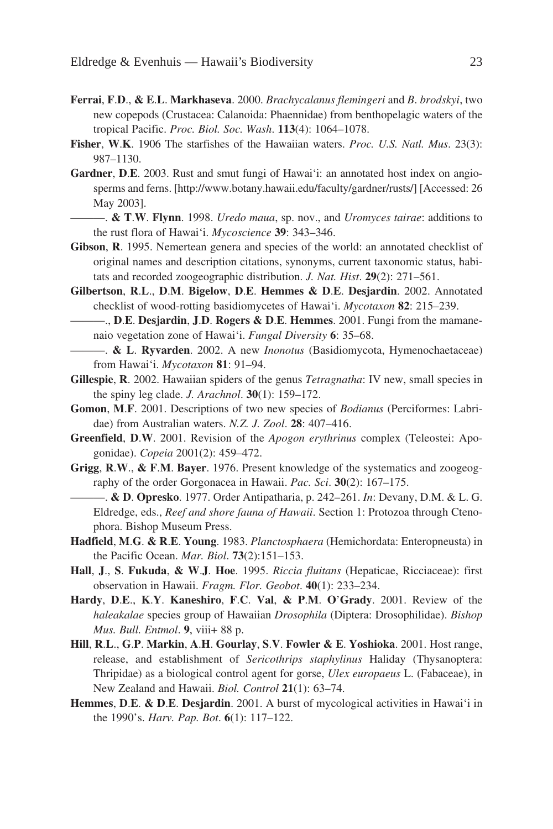- **Ferrai**, **F**.**D**., **& E**.**L**. **Markhaseva**. 2000. *Brachycalanus flemingeri* and *B*. *brodskyi*, two new copepods (Crustacea: Calanoida: Phaennidae) from benthopelagic waters of the tropical Pacific. *Proc. Biol. Soc. Wash*. **113**(4): 1064–1078.
- **Fisher**, **W**.**K**. 1906 The starfishes of the Hawaiian waters. *Proc. U.S. Natl. Mus*. 23(3): 987–1130.
- **Gardner**, **D**.**E**. 2003. Rust and smut fungi of Hawai'i: an annotated host index on angiosperms and ferns. [http://www.botany.hawaii.edu/faculty/gardner/rusts/] [Accessed: 26 May 2003].
	- ———. **& T**.**W**. **Flynn**. 1998. *Uredo maua*, sp. nov., and *Uromyces tairae*: additions to the rust flora of Hawai'i. *Mycoscience* **39**: 343–346.
- **Gibson**, **R**. 1995. Nemertean genera and species of the world: an annotated checklist of original names and description citations, synonyms, current taxonomic status, habitats and recorded zoogeographic distribution. *J. Nat. Hist*. **29**(2): 271–561.
- **Gilbertson**, **R**.**L**., **D**.**M**. **Bigelow**, **D**.**E**. **Hemmes & D**.**E**. **Desjardin**. 2002. Annotated checklist of wood-rotting basidiomycetes of Hawai'i. *Mycotaxon* **82**: 215–239.
	- ———., **D**.**E**. **Desjardin**, **J**.**D**. **Rogers & D**.**E**. **Hemmes**. 2001. Fungi from the mamanenaio vegetation zone of Hawai'i. *Fungal Diversity* **6**: 35–68.
- ———. **& L**. **Ryvarden**. 2002. A new *Inonotus* (Basidiomycota, Hymenochaetaceae) from Hawai'i. *Mycotaxon* **81**: 91–94.
- **Gillespie**, **R**. 2002. Hawaiian spiders of the genus *Tetragnatha*: IV new, small species in the spiny leg clade. *J. Arachnol*. **30**(1): 159–172.
- **Gomon**, **M**.**F**. 2001. Descriptions of two new species of *Bodianus* (Perciformes: Labridae) from Australian waters. *N.Z. J. Zool*. **28**: 407–416.
- **Greenfield**, **D**.**W**. 2001. Revision of the *Apogon erythrinus* complex (Teleostei: Apogonidae). *Copeia* 2001(2): 459–472.
- **Grigg**, **R**.**W**., **& F**.**M**. **Bayer**. 1976. Present knowledge of the systematics and zoogeography of the order Gorgonacea in Hawaii. *Pac. Sci*. **30**(2): 167–175.
	- ———. **& D**. **Opresko**. 1977. Order Antipatharia, p. 242–261. *In*: Devany, D.M. & L. G. Eldredge, eds., *Reef and shore fauna of Hawaii*. Section 1: Protozoa through Ctenophora. Bishop Museum Press.
- **Hadfield**, **M**.**G**. **& R**.**E**. **Young**. 1983. *Planctosphaera* (Hemichordata: Enteropneusta) in the Pacific Ocean. *Mar. Biol*. **73**(2):151–153.
- **Hall**, **J**., **S**. **Fukuda**, **& W**.**J**. **Hoe**. 1995. *Riccia fluitans* (Hepaticae, Ricciaceae): first observation in Hawaii. *Fragm. Flor. Geobot*. **40**(1): 233–234.
- **Hardy**, **D**.**E**., **K**.**Y**. **Kaneshiro**, **F**.**C**. **Val**, **& P**.**M**. **O**'**Grady**. 2001. Review of the *haleakalae* species group of Hawaiian *Drosophila* (Diptera: Drosophilidae). *Bishop Mus. Bull. Entmol*. **9**, viii+ 88 p.
- **Hill**, **R**.**L**., **G**.**P**. **Markin**, **A**.**H**. **Gourlay**, **S**.**V**. **Fowler & E**. **Yoshioka**. 2001. Host range, release, and establishment of *Sericothrips staphylinus* Haliday (Thysanoptera: Thripidae) as a biological control agent for gorse, *Ulex europaeus* L. (Fabaceae), in New Zealand and Hawaii. *Biol. Control* **21**(1): 63–74.
- **Hemmes**, **D**.**E**. **& D**.**E**. **Desjardin**. 2001. A burst of mycological activities in Hawai'i in the 1990's. *Harv. Pap. Bot*. **6**(1): 117–122.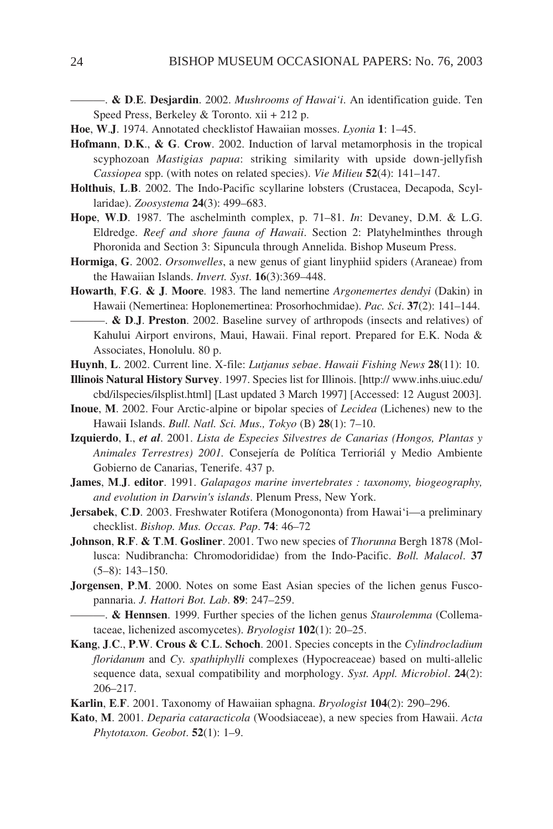———. **& D**.**E**. **Desjardin**. 2002. *Mushrooms of Hawai'i*. An identification guide. Ten Speed Press, Berkeley & Toronto. xii + 212 p.

- **Hoe**, **W**.**J**. 1974. Annotated checklistof Hawaiian mosses. *Lyonia* **1**: 1–45.
- **Hofmann**, **D**.**K**., **& G**. **Crow**. 2002. Induction of larval metamorphosis in the tropical scyphozoan *Mastigias papua*: striking similarity with upside down-jellyfish *Cassiopea* spp. (with notes on related species). *Vie Milieu* **52**(4): 141–147.
- **Holthuis**, **L**.**B**. 2002. The Indo-Pacific scyllarine lobsters (Crustacea, Decapoda, Scyllaridae). *Zoosystema* **24**(3): 499–683.
- **Hope**, **W**.**D**. 1987. The aschelminth complex, p. 71–81. *In*: Devaney, D.M. & L.G. Eldredge. *Reef and shore fauna of Hawaii*. Section 2: Platyhelminthes through Phoronida and Section 3: Sipuncula through Annelida. Bishop Museum Press.
- **Hormiga**, **G**. 2002. *Orsonwelles*, a new genus of giant linyphiid spiders (Araneae) from the Hawaiian Islands. *Invert. Syst*. **16**(3):369–448.
- **Howarth**, **F**.**G**. **& J**. **Moore**. 1983. The land nemertine *Argonemertes dendyi* (Dakin) in Hawaii (Nemertinea: Hoplonemertinea: Prosorhochmidae). *Pac. Sci*. **37**(2): 141–144.
	- ———. **& D**.**J**. **Preston**. 2002. Baseline survey of arthropods (insects and relatives) of Kahului Airport environs, Maui, Hawaii. Final report. Prepared for E.K. Noda & Associates, Honolulu. 80 p.
- **Huynh**, **L**. 2002. Current line. X-file: *Lutjanus sebae*. *Hawaii Fishing News* **28**(11): 10.
- **Illinois Natural History Survey**. 1997. Species list for Illinois. [http:// www.inhs.uiuc.edu/ cbd/ilspecies/ilsplist.html] [Last updated 3 March 1997] [Accessed: 12 August 2003].
- **Inoue**, **M**. 2002. Four Arctic-alpine or bipolar species of *Lecidea* (Lichenes) new to the Hawaii Islands. *Bull. Natl. Sci. Mus., Tokyo* (B) **28**(1): 7–10.
- **Izquierdo**, **I**., *et al*. 2001. *Lista de Especies Silvestres de Canarias (Hongos, Plantas y Animales Terrestres) 2001.* Consejería de Política Terrioriál y Medio Ambiente Gobierno de Canarias, Tenerife. 437 p.
- **James**, **M**.**J**. **editor**. 1991. *Galapagos marine invertebrates : taxonomy, biogeography, and evolution in Darwin's islands*. Plenum Press, New York.
- **Jersabek**, **C**.**D**. 2003. Freshwater Rotifera (Monogononta) from Hawai'i—a preliminary checklist. *Bishop. Mus. Occas. Pap*. **74**: 46–72
- **Johnson**, **R**.**F**. **& T**.**M**. **Gosliner**. 2001. Two new species of *Thorunna* Bergh 1878 (Mollusca: Nudibrancha: Chromodorididae) from the Indo-Pacific. *Boll. Malacol*. **37** (5–8): 143–150.
- **Jorgensen**, **P**.**M**. 2000. Notes on some East Asian species of the lichen genus Fuscopannaria. *J. Hattori Bot. Lab*. **89**: 247–259.
	- ———. **& Hennsen**. 1999. Further species of the lichen genus *Staurolemma* (Collemataceae, lichenized ascomycetes). *Bryologist* **102**(1): 20–25.
- **Kang**, **J**.**C**., **P**.**W**. **Crous & C**.**L**. **Schoch**. 2001. Species concepts in the *Cylindrocladium floridanum* and *Cy. spathiphylli* complexes (Hypocreaceae) based on multi-allelic sequence data, sexual compatibility and morphology. *Syst. Appl. Microbiol*. **24**(2): 206–217.
- **Karlin**, **E**.**F**. 2001. Taxonomy of Hawaiian sphagna. *Bryologist* **104**(2): 290–296.
- **Kato**, **M**. 2001. *Deparia cataracticola* (Woodsiaceae), a new species from Hawaii. *Acta Phytotaxon. Geobot*. **52**(1): 1–9.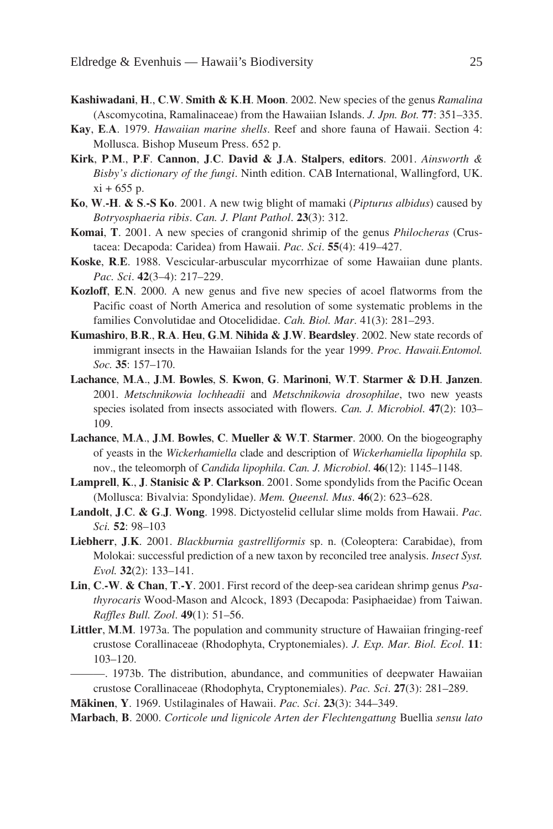- **Kashiwadani**, **H**., **C**.**W**. **Smith & K**.**H**. **Moon**. 2002. New species of the genus *Ramalina* (Ascomycotina, Ramalinaceae) from the Hawaiian Islands. *J. Jpn. Bot.* **77**: 351–335.
- **Kay**, **E**.**A**. 1979. *Hawaiian marine shells*. Reef and shore fauna of Hawaii. Section 4: Mollusca. Bishop Museum Press. 652 p.
- **Kirk**, **P**.**M**., **P**.**F**. **Cannon**, **J**.**C**. **David & J**.**A**. **Stalpers**, **editors**. 2001. *Ainsworth & Bisby's dictionary of the fungi*. Ninth edition. CAB International, Wallingford, UK.  $xi + 655$  p.
- **Ko**, **W**.**-H**. **& S**.**-S Ko**. 2001. A new twig blight of mamaki (*Pipturus albidus*) caused by *Botryosphaeria ribis*. *Can. J. Plant Pathol*. **23**(3): 312.
- **Komai**, **T**. 2001. A new species of crangonid shrimip of the genus *Philocheras* (Crustacea: Decapoda: Caridea) from Hawaii. *Pac. Sci*. **55**(4): 419–427.
- **Koske**, **R**.**E**. 1988. Vescicular-arbuscular mycorrhizae of some Hawaiian dune plants. *Pac. Sci*. **42**(3–4): 217–229.
- **Kozloff**, **E**.**N**. 2000. A new genus and five new species of acoel flatworms from the Pacific coast of North America and resolution of some systematic problems in the families Convolutidae and Otocelididae. *Cah. Biol. Mar*. 41(3): 281–293.
- **Kumashiro**, **B**.**R**., **R**.**A**. **Heu**, **G**.**M**. **Nihida & J**.**W**. **Beardsley**. 2002. New state records of immigrant insects in the Hawaiian Islands for the year 1999. *Proc. Hawaii.Entomol. Soc.* **35**: 157–170.
- **Lachance**, **M**.**A**., **J**.**M**. **Bowles**, **S**. **Kwon**, **G**. **Marinoni**, **W**.**T**. **Starmer & D**.**H**. **Janzen**. 2001. *Metschnikowia lochheadii* and *Metschnikowia drosophilae*, two new yeasts species isolated from insects associated with flowers. *Can. J. Microbiol*. **47**(2): 103– 109.
- **Lachance**, **M**.**A**., **J**.**M**. **Bowles**, **C**. **Mueller & W**.**T**. **Starmer**. 2000. On the biogeography of yeasts in the *Wickerhamiella* clade and description of *Wickerhamiella lipophila* sp. nov., the teleomorph of *Candida lipophila*. *Can. J. Microbiol*. **46**(12): 1145–1148.
- **Lamprell**, **K**., **J**. **Stanisic & P**. **Clarkson**. 2001. Some spondylids from the Pacific Ocean (Mollusca: Bivalvia: Spondylidae). *Mem. Queensl. Mus*. **46**(2): 623–628.
- **Landolt**, **J**.**C**. **& G**.**J**. **Wong**. 1998. Dictyostelid cellular slime molds from Hawaii. *Pac. Sci.* **52**: 98–103
- **Liebherr**, **J**.**K**. 2001. *Blackburnia gastrelliformis* sp. n. (Coleoptera: Carabidae), from Molokai: successful prediction of a new taxon by reconciled tree analysis. *Insect Syst. Evol.* **32**(2): 133–141.
- **Lin**, **C**.**-W**. **& Chan**, **T**.**-Y**. 2001. First record of the deep-sea caridean shrimp genus *Psathyrocaris* Wood-Mason and Alcock, 1893 (Decapoda: Pasiphaeidae) from Taiwan. *Raffles Bull. Zool*. **49**(1): 51–56.
- **Littler**, **M**.**M**. 1973a. The population and community structure of Hawaiian fringing-reef crustose Corallinaceae (Rhodophyta, Cryptonemiales). *J. Exp. Mar. Biol. Ecol*. **11**: 103–120.
- ———. 1973b. The distribution, abundance, and communities of deepwater Hawaiian crustose Corallinaceae (Rhodophyta, Cryptonemiales). *Pac. Sci*. **27**(3): 281–289.

**Mäkinen**, **Y**. 1969. Ustilaginales of Hawaii. *Pac. Sci*. **23**(3): 344–349.

**Marbach**, **B**. 2000. *Corticole und lignicole Arten der Flechtengattung* Buellia *sensu lato*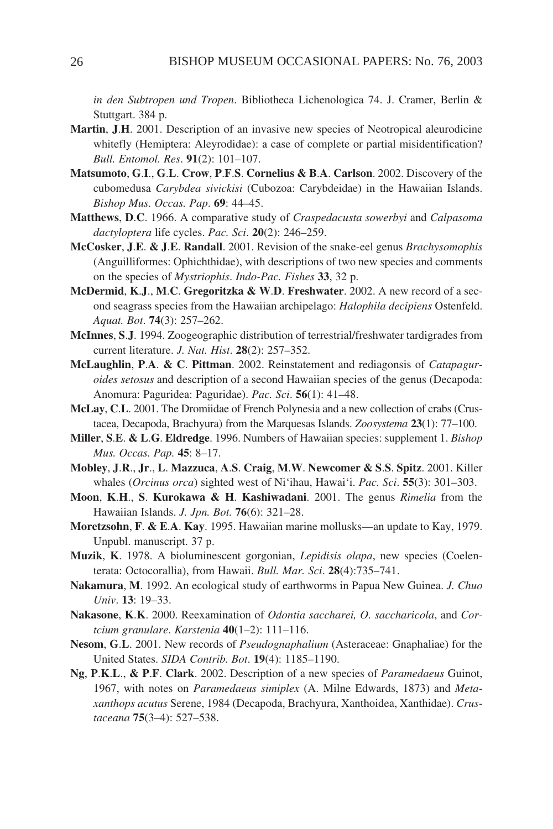*in den Subtropen und Tropen*. Bibliotheca Lichenologica 74. J. Cramer, Berlin & Stuttgart. 384 p.

- **Martin**, **J**.**H**. 2001. Description of an invasive new species of Neotropical aleurodicine whitefly (Hemiptera: Aleyrodidae): a case of complete or partial misidentification? *Bull. Entomol. Res*. **91**(2): 101–107.
- **Matsumoto**, **G**.**I**., **G**.**L**. **Crow**, **P**.**F**.**S**. **Cornelius & B**.**A**. **Carlson**. 2002. Discovery of the cubomedusa *Carybdea sivickisi* (Cubozoa: Carybdeidae) in the Hawaiian Islands. *Bishop Mus. Occas. Pap*. **69**: 44–45.
- **Matthews**, **D**.**C**. 1966. A comparative study of *Craspedacusta sowerbyi* and *Calpasoma dactyloptera* life cycles. *Pac. Sci*. **20**(2): 246–259.
- **McCosker**, **J**.**E**. **& J**.**E**. **Randall**. 2001. Revision of the snake-eel genus *Brachysomophis* (Anguilliformes: Ophichthidae), with descriptions of two new species and comments on the species of *Mystriophis*. *Indo-Pac. Fishes* **33**, 32 p.
- **McDermid**, **K**.**J**., **M**.**C**. **Gregoritzka & W**.**D**. **Freshwater**. 2002. A new record of a second seagrass species from the Hawaiian archipelago: *Halophila decipiens* Ostenfeld. *Aquat. Bot*. **74**(3): 257–262.
- **McInnes**, **S**.**J**. 1994. Zoogeographic distribution of terrestrial/freshwater tardigrades from current literature. *J. Nat. Hist*. **28**(2): 257–352.
- **McLaughlin**, **P**.**A**. **& C**. **Pittman**. 2002. Reinstatement and rediagonsis of *Catapaguroides setosus* and description of a second Hawaiian species of the genus (Decapoda: Anomura: Paguridea: Paguridae). *Pac. Sci*. **56**(1): 41–48.
- **McLay**, **C**.**L**. 2001. The Dromiidae of French Polynesia and a new collection of crabs (Crustacea, Decapoda, Brachyura) from the Marquesas Islands. *Zoosystema* **23**(1): 77–100.
- **Miller**, **S**.**E**. **& L**.**G**. **Eldredge**. 1996. Numbers of Hawaiian species: supplement 1. *Bishop Mus. Occas. Pap.* **45**: 8–17.
- **Mobley**, **J**.**R**., **Jr**., **L**. **Mazzuca**, **A**.**S**. **Craig**, **M**.**W**. **Newcomer & S**.**S**. **Spitz**. 2001. Killer whales (*Orcinus orca*) sighted west of Ni'ihau, Hawai'i. *Pac. Sci*. **55**(3): 301–303.
- **Moon**, **K**.**H**., **S**. **Kurokawa & H**. **Kashiwadani**. 2001. The genus *Rimelia* from the Hawaiian Islands. *J. Jpn. Bot.* **76**(6): 321–28.
- **Moretzsohn**, **F**. **& E**.**A**. **Kay**. 1995. Hawaiian marine mollusks—an update to Kay, 1979. Unpubl. manuscript. 37 p.
- **Muzik**, **K**. 1978. A bioluminescent gorgonian, *Lepidisis olapa*, new species (Coelenterata: Octocorallia), from Hawaii. *Bull. Mar. Sci*. **28**(4):735–741.
- **Nakamura**, **M**. 1992. An ecological study of earthworms in Papua New Guinea. *J. Chuo Univ*. **13**: 19–33.
- **Nakasone**, **K**.**K**. 2000. Reexamination of *Odontia saccharei, O. saccharicola*, and *Cortcium granulare*. *Karstenia* **40**(1–2): 111–116.
- **Nesom**, **G**.**L**. 2001. New records of *Pseudognaphalium* (Asteraceae: Gnaphaliae) for the United States. *SIDA Contrib. Bot*. **19**(4): 1185–1190.
- **Ng**, **P**.**K**.**L**., **& P**.**F**. **Clark**. 2002. Description of a new species of *Paramedaeus* Guinot, 1967, with notes on *Paramedaeus simiplex* (A. Milne Edwards, 1873) and *Metaxanthops acutus* Serene, 1984 (Decapoda, Brachyura, Xanthoidea, Xanthidae). *Crustaceana* **75**(3–4): 527–538.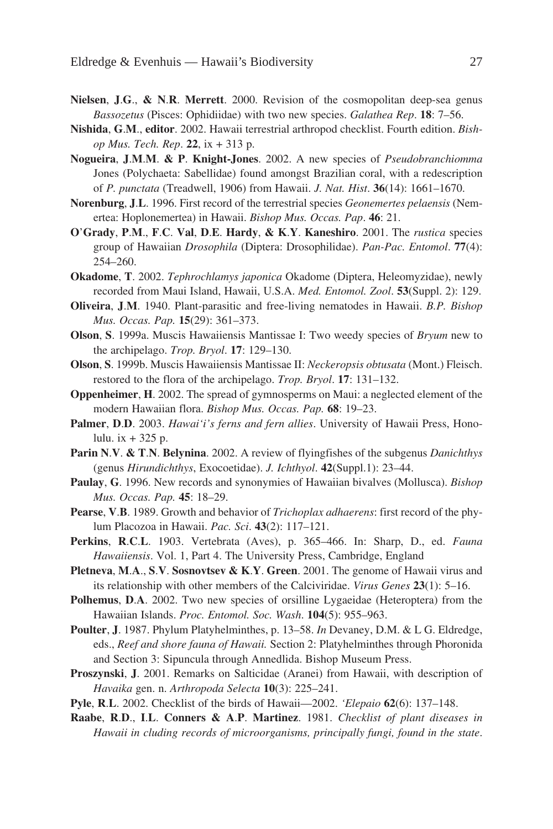- **Nielsen**, **J**.**G**., **& N**.**R**. **Merrett**. 2000. Revision of the cosmopolitan deep-sea genus *Bassozetus* (Pisces: Ophidiidae) with two new species. *Galathea Rep*. **18**: 7–56.
- **Nishida**, **G**.**M**., **editor**. 2002. Hawaii terrestrial arthropod checklist. Fourth edition. *Bishop Mus. Tech. Rep*. **22**, ix + 313 p.
- **Nogueira**, **J**.**M**.**M**. **& P**. **Knight-Jones**. 2002. A new species of *Pseudobranchiomma* Jones (Polychaeta: Sabellidae) found amongst Brazilian coral, with a redescription of *P. punctata* (Treadwell, 1906) from Hawaii. *J. Nat. Hist*. **36**(14): 1661–1670.
- **Norenburg**, **J**.**L**. 1996. First record of the terrestrial species *Geonemertes pelaensis* (Nemertea: Hoplonemertea) in Hawaii. *Bishop Mus. Occas. Pap*. **46**: 21.
- **O**'**Grady**, **P**.**M**., **F**.**C**. **Val**, **D**.**E**. **Hardy**, **& K**.**Y**. **Kaneshiro**. 2001. The *rustica* species group of Hawaiian *Drosophila* (Diptera: Drosophilidae). *Pan-Pac. Entomol*. **77**(4): 254–260.
- **Okadome**, **T**. 2002. *Tephrochlamys japonica* Okadome (Diptera, Heleomyzidae), newly recorded from Maui Island, Hawaii, U.S.A. *Med. Entomol. Zool*. **53**(Suppl. 2): 129.
- **Oliveira**, **J**.**M**. 1940. Plant-parasitic and free-living nematodes in Hawaii. *B.P. Bishop Mus. Occas. Pap.* **15**(29): 361–373.
- **Olson**, **S**. 1999a. Muscis Hawaiiensis Mantissae I: Two weedy species of *Bryum* new to the archipelago. *Trop. Bryol*. **17**: 129–130.
- **Olson**, **S**. 1999b. Muscis Hawaiiensis Mantissae II: *Neckeropsis obtusata* (Mont.) Fleisch. restored to the flora of the archipelago. *Trop. Bryol*. **17**: 131–132.
- **Oppenheimer**, **H**. 2002. The spread of gymnosperms on Maui: a neglected element of the modern Hawaiian flora. *Bishop Mus. Occas. Pap.* **68**: 19–23.
- **Palmer**, **D**.**D**. 2003. *Hawai'i's ferns and fern allies*. University of Hawaii Press, Honolulu.  $ix + 325 p$ .
- **Parin N**.**V**. **& T**.**N**. **Belynina**. 2002. A review of flyingfishes of the subgenus *Danichthys* (genus *Hirundichthys*, Exocoetidae). *J. Ichthyol*. **42**(Suppl.1): 23–44.
- **Paulay**, **G**. 1996. New records and synonymies of Hawaiian bivalves (Mollusca). *Bishop Mus. Occas. Pap.* **45**: 18–29.
- **Pearse**, **V**.**B**. 1989. Growth and behavior of *Trichoplax adhaerens*: first record of the phylum Placozoa in Hawaii. *Pac. Sci*. **43**(2): 117–121.
- **Perkins**, **R**.**C**.**L**. 1903. Vertebrata (Aves), p. 365–466. In: Sharp, D., ed. *Fauna Hawaiiensis*. Vol. 1, Part 4. The University Press, Cambridge, England
- **Pletneva**, **M**.**A**., **S**.**V**. **Sosnovtsev & K**.**Y**. **Green**. 2001. The genome of Hawaii virus and its relationship with other members of the Calciviridae. *Virus Genes* **23**(1): 5–16.
- **Polhemus**, **D**.**A**. 2002. Two new species of orsilline Lygaeidae (Heteroptera) from the Hawaiian Islands. *Proc. Entomol. Soc. Wash*. **104**(5): 955–963.
- **Poulter**, **J**. 1987. Phylum Platyhelminthes, p. 13–58. *In* Devaney, D.M. & L G. Eldredge, eds., *Reef and shore fauna of Hawaii.* Section 2: Platyhelminthes through Phoronida and Section 3: Sipuncula through Annedlida. Bishop Museum Press.
- **Proszynski**, **J**. 2001. Remarks on Salticidae (Aranei) from Hawaii, with description of *Havaika* gen. n. *Arthropoda Selecta* **10**(3): 225–241.
- **Pyle**, **R**.**L**. 2002. Checklist of the birds of Hawaii—2002. *'Elepaio* **62**(6): 137–148.
- **Raabe**, **R**.**D**., **I**.**L**. **Conners & A**.**P**. **Martinez**. 1981. *Checklist of plant diseases in Hawaii in cluding records of microorganisms, principally fungi, found in the state*.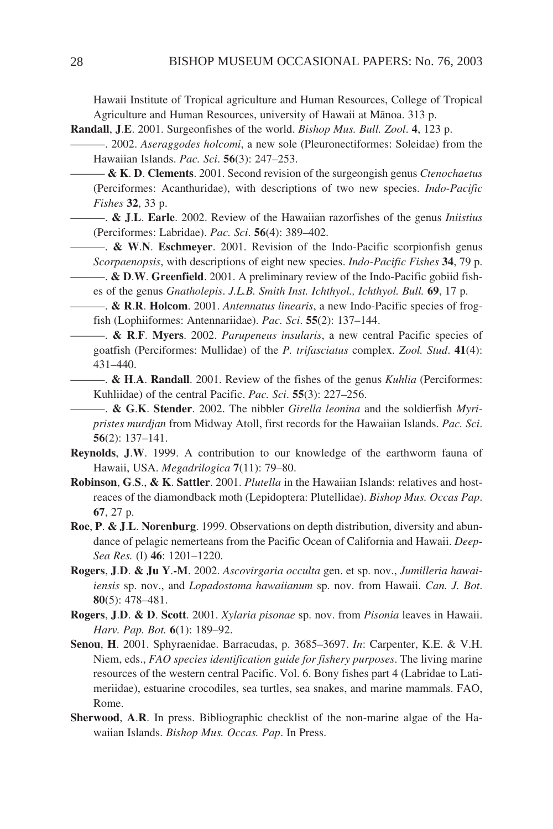Hawaii Institute of Tropical agriculture and Human Resources, College of Tropical Agriculture and Human Resources, university of Hawaii at Mänoa. 313 p.

- **Randall**, **J**.**E**. 2001. Surgeonfishes of the world. *Bishop Mus. Bull. Zool*. **4**, 123 p.
	- ———. 2002. *Aseraggodes holcomi*, a new sole (Pleuronectiformes: Soleidae) from the Hawaiian Islands. *Pac. Sci*. **56**(3): 247–253.
		- ——— **& K**. **D**. **Clements**. 2001. Second revision of the surgeongish genus *Ctenochaetus* (Perciformes: Acanthuridae), with descriptions of two new species. *Indo-Pacific Fishes* **32**, 33 p.
		- ———. **& J**.**L**. **Earle**. 2002. Review of the Hawaiian razorfishes of the genus *Iniistius* (Perciformes: Labridae). *Pac. Sci*. **56**(4): 389–402.
		- ———. **& W**.**N**. **Eschmeyer**. 2001. Revision of the Indo-Pacific scorpionfish genus *Scorpaenopsis*, with descriptions of eight new species. *Indo-Pacific Fishes* **34**, 79 p.
	- ———. **& D**.**W**. **Greenfield**. 2001. A preliminary review of the Indo-Pacific gobiid fishes of the genus *Gnatholepis*. *J.L.B. Smith Inst. Ichthyol., Ichthyol. Bull.* **69**, 17 p.
	- ———. **& R**.**R**. **Holcom**. 2001. *Antennatus linearis*, a new Indo-Pacific species of frogfish (Lophiiformes: Antennariidae). *Pac. Sci*. **55**(2): 137–144.
	- ———. **& R**.**F**. **Myers**. 2002. *Parupeneus insularis*, a new central Pacific species of goatfish (Perciformes: Mullidae) of the *P. trifasciatus* complex. *Zool. Stud*. **41**(4): 431–440.
	- ———. **& H**.**A**. **Randall**. 2001. Review of the fishes of the genus *Kuhlia* (Perciformes: Kuhliidae) of the central Pacific. *Pac. Sci*. **55**(3): 227–256.
	- ———. **& G**.**K**. **Stender**. 2002. The nibbler *Girella leonina* and the soldierfish *Myripristes murdjan* from Midway Atoll, first records for the Hawaiian Islands. *Pac. Sci*. **56**(2): 137–141.
- **Reynolds**, **J**.**W**. 1999. A contribution to our knowledge of the earthworm fauna of Hawaii, USA. *Megadrilogica* **7**(11): 79–80.
- **Robinson**, **G**.**S**., **& K**. **Sattler**. 2001. *Plutella* in the Hawaiian Islands: relatives and hostreaces of the diamondback moth (Lepidoptera: Plutellidae). *Bishop Mus. Occas Pap*. **67**, 27 p.
- **Roe**, **P**. **& J**.**L**. **Norenburg**. 1999. Observations on depth distribution, diversity and abundance of pelagic nemerteans from the Pacific Ocean of California and Hawaii. *Deep-Sea Res.* (I) **46**: 1201–1220.
- **Rogers**, **J**.**D**. **& Ju Y**.**-M**. 2002. *Ascovirgaria occulta* gen. et sp. nov., *Jumilleria hawaiiensis* sp. nov., and *Lopadostoma hawaiianum* sp. nov. from Hawaii. *Can. J. Bot*. **80**(5): 478–481.
- **Rogers**, **J**.**D**. **& D**. **Scott**. 2001. *Xylaria pisonae* sp. nov. from *Pisonia* leaves in Hawaii. *Harv. Pap. Bot.* **6**(1): 189–92.
- **Senou**, **H**. 2001. Sphyraenidae. Barracudas, p. 3685–3697. *In*: Carpenter, K.E. & V.H. Niem, eds., *FAO species identification guide for fishery purposes*. The living marine resources of the western central Pacific. Vol. 6. Bony fishes part 4 (Labridae to Latimeriidae), estuarine crocodiles, sea turtles, sea snakes, and marine mammals. FAO, Rome.
- **Sherwood**, **A**.**R**. In press. Bibliographic checklist of the non-marine algae of the Hawaiian Islands. *Bishop Mus. Occas. Pap*. In Press.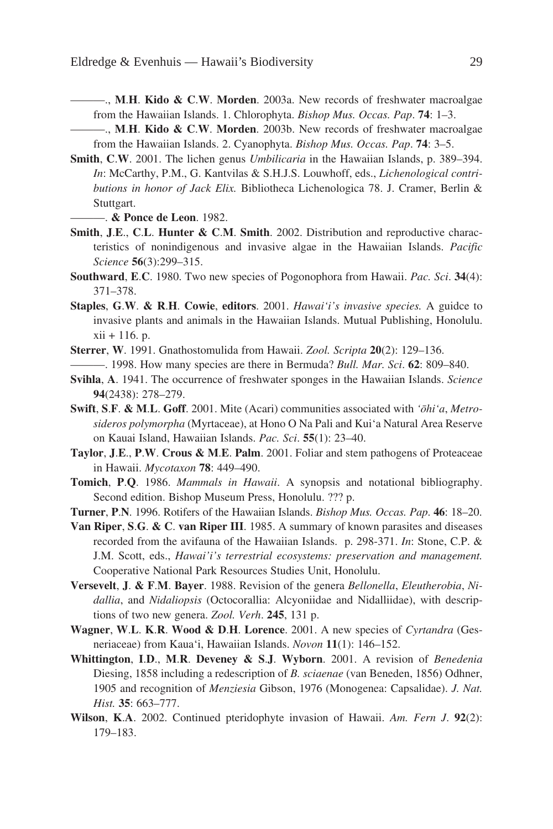- ———., **M**.**H**. **Kido & C**.**W**. **Morden**. 2003a. New records of freshwater macroalgae from the Hawaiian Islands. 1. Chlorophyta. *Bishop Mus. Occas. Pap*. **74**: 1–3.
- ———., **M**.**H**. **Kido & C**.**W**. **Morden**. 2003b. New records of freshwater macroalgae from the Hawaiian Islands. 2. Cyanophyta. *Bishop Mus. Occas. Pap*. **74**: 3–5.
- **Smith**, **C**.**W**. 2001. The lichen genus *Umbilicaria* in the Hawaiian Islands, p. 389–394. *In*: McCarthy, P.M., G. Kantvilas & S.H.J.S. Louwhoff, eds., *Lichenological contributions in honor of Jack Elix.* Bibliotheca Lichenologica 78. J. Cramer, Berlin & Stuttgart.

———. **& Ponce de Leon**. 1982.

- **Smith**, **J**.**E**., **C**.**L**. **Hunter & C**.**M**. **Smith**. 2002. Distribution and reproductive characteristics of nonindigenous and invasive algae in the Hawaiian Islands. *Pacific Science* **56**(3):299–315.
- **Southward**, **E**.**C**. 1980. Two new species of Pogonophora from Hawaii. *Pac. Sci*. **34**(4): 371–378.
- **Staples**, **G**.**W**. **& R**.**H**. **Cowie**, **editors**. 2001. *Hawai'i's invasive species.* A guidce to invasive plants and animals in the Hawaiian Islands. Mutual Publishing, Honolulu. xii + 116. p.
- **Sterrer**, **W**. 1991. Gnathostomulida from Hawaii. *Zool. Scripta* **20**(2): 129–136.
	- ———. 1998. How many species are there in Bermuda? *Bull. Mar. Sci*. **62**: 809–840.
- **Svihla**, **A**. 1941. The occurrence of freshwater sponges in the Hawaiian Islands. *Science* **94**(2438): 278–279.
- **Swift**, **S**.**F**. **& M**.**L**. **Goff**. 2001. Mite (Acari) communities associated with *'öhi'a*, *Metrosideros polymorpha* (Myrtaceae), at Hono O Na Pali and Kui'a Natural Area Reserve on Kauai Island, Hawaiian Islands. *Pac. Sci*. **55**(1): 23–40.
- **Taylor**, **J**.**E**., **P**.**W**. **Crous & M**.**E**. **Palm**. 2001. Foliar and stem pathogens of Proteaceae in Hawaii. *Mycotaxon* **78**: 449–490.
- **Tomich**, **P**.**Q**. 1986. *Mammals in Hawaii*. A synopsis and notational bibliography. Second edition. Bishop Museum Press, Honolulu. ??? p.
- **Turner**, **P**.**N**. 1996. Rotifers of the Hawaiian Islands. *Bishop Mus. Occas. Pap*. **46**: 18–20.
- **Van Riper**, **S**.**G**. **& C**. **van Riper III**. 1985. A summary of known parasites and diseases recorded from the avifauna of the Hawaiian Islands. p. 298-371. *In*: Stone, C.P. & J.M. Scott, eds., *Hawai'i's terrestrial ecosystems: preservation and management.* Cooperative National Park Resources Studies Unit, Honolulu.
- **Versevelt**, **J**. **& F**.**M**. **Bayer**. 1988. Revision of the genera *Bellonella*, *Eleutherobia*, *Nidallia*, and *Nidaliopsis* (Octocorallia: Alcyoniidae and Nidalliidae), with descriptions of two new genera. *Zool. Verh*. **245**, 131 p.
- **Wagner**, **W**.**L**. **K**.**R**. **Wood & D**.**H**. **Lorence**. 2001. A new species of *Cyrtandra* (Gesneriaceae) from Kaua'i, Hawaiian Islands. *Novon* **11**(1): 146–152.
- **Whittington**, **I**.**D**., **M**.**R**. **Deveney & S**.**J**. **Wyborn**. 2001. A revision of *Benedenia* Diesing, 1858 including a redescription of *B. sciaenae* (van Beneden, 1856) Odhner, 1905 and recognition of *Menziesia* Gibson, 1976 (Monogenea: Capsalidae). *J. Nat. Hist.* **35**: 663–777.
- **Wilson**, **K**.**A**. 2002. Continued pteridophyte invasion of Hawaii. *Am. Fern J*. **92**(2): 179–183.